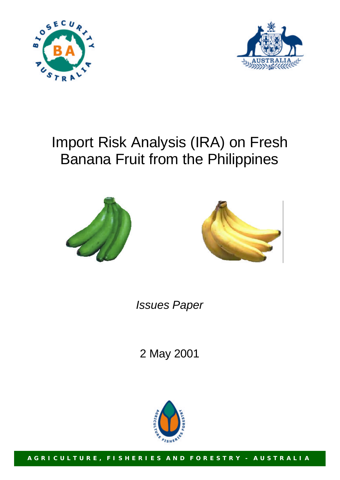



# Import Risk Analysis (IRA) on Fresh Banana Fruit from the Philippines





*Issues Paper*

2 May 2001



**AGRICULTURE, FISHERIES AND FORESTRY - AUSTRALIA**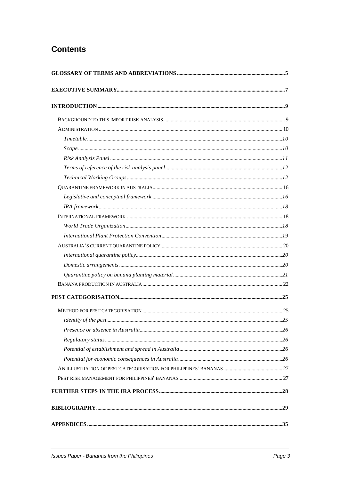# **Contents**

| $\label{eq:regularization} Regularory status$ |  |
|-----------------------------------------------|--|
|                                               |  |
|                                               |  |
|                                               |  |
|                                               |  |
|                                               |  |
|                                               |  |
|                                               |  |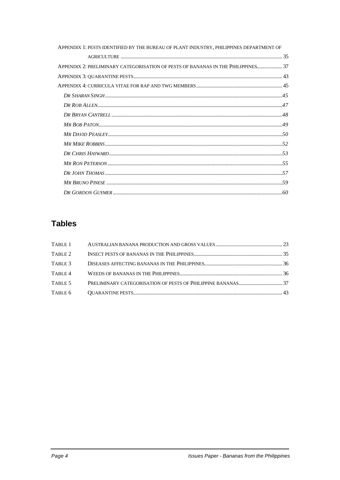| APPENDIX 1: PESTS IDENTIFIED BY THE BUREAU OF PLANT INDUSTRY, PHILIPPINES DEPARTMENT OF |
|-----------------------------------------------------------------------------------------|
|                                                                                         |
| APPENDIX 2: PRELIMINARY CATEGORISATION OF PESTS OF BANANAS IN THE PHILIPPINES 37        |
|                                                                                         |
|                                                                                         |
|                                                                                         |
|                                                                                         |
|                                                                                         |
|                                                                                         |
|                                                                                         |
|                                                                                         |
|                                                                                         |
|                                                                                         |
|                                                                                         |
|                                                                                         |
|                                                                                         |

# **Tables**

| TABLE 2 |  |
|---------|--|
|         |  |
|         |  |
|         |  |
|         |  |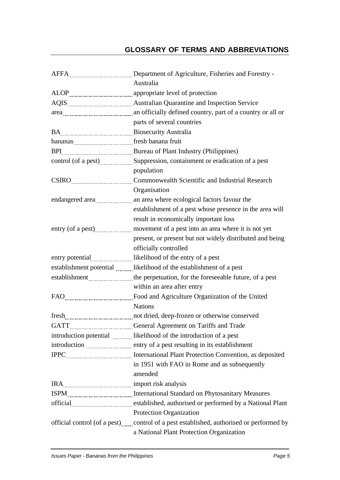# **GLOSSARY OF TERMS AND ABBREVIATIONS**

| Australia                                                                                               |  |
|---------------------------------------------------------------------------------------------------------|--|
|                                                                                                         |  |
| AQIS ___________________________________Australian Quarantine and Inspection Service                    |  |
|                                                                                                         |  |
| parts of several countries                                                                              |  |
|                                                                                                         |  |
|                                                                                                         |  |
|                                                                                                         |  |
|                                                                                                         |  |
| population                                                                                              |  |
| CSIRO _________________________Commonwealth Scientific and Industrial Research                          |  |
| Organisation                                                                                            |  |
| endangered area <i>manufacture and area</i> where ecological factors favour the                         |  |
| establishment of a pest whose presence in the area will                                                 |  |
| result in economically important loss                                                                   |  |
|                                                                                                         |  |
| present, or present but not widely distributed and being                                                |  |
| officially controlled                                                                                   |  |
|                                                                                                         |  |
| establishment potential <i>manufilities</i> likelihood of the establishment of a pest                   |  |
|                                                                                                         |  |
| within an area after entry                                                                              |  |
|                                                                                                         |  |
| <b>Nations</b>                                                                                          |  |
|                                                                                                         |  |
|                                                                                                         |  |
| introduction potential likelihood of the introduction of a pest                                         |  |
|                                                                                                         |  |
|                                                                                                         |  |
| in 1951 with FAO in Rome and as subsequently                                                            |  |
| amended                                                                                                 |  |
|                                                                                                         |  |
|                                                                                                         |  |
|                                                                                                         |  |
| Protection Organization                                                                                 |  |
| official control (of a pest) <sub>unnec</sub> control of a pest established, authorised or performed by |  |
| a National Plant Protection Organization                                                                |  |
|                                                                                                         |  |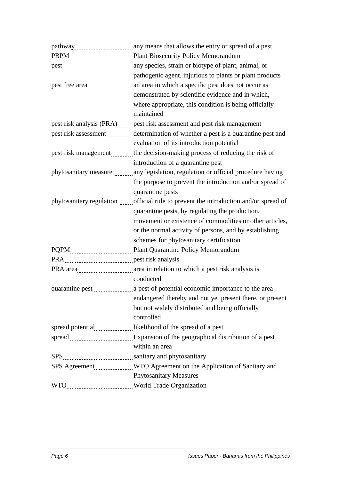| pathogenic agent, injurious to plants or plant products                                                 |  |  |
|---------------------------------------------------------------------------------------------------------|--|--|
|                                                                                                         |  |  |
| demonstrated by scientific evidence and in which,                                                       |  |  |
| where appropriate, this condition is being officially                                                   |  |  |
| maintained                                                                                              |  |  |
| pest risk analysis (PRA) _______ pest risk assessment and pest risk management                          |  |  |
| pest risk assessment determination of whether a pest is a quarantine pest and                           |  |  |
| evaluation of its introduction potential                                                                |  |  |
| pest risk management <u>measure</u> the decision-making process of reducing the risk of                 |  |  |
| introduction of a quarantine pest                                                                       |  |  |
| phytosanitary measure <i>measure any legislation</i> , regulation or official procedure having          |  |  |
| the purpose to prevent the introduction and/or spread of                                                |  |  |
| quarantine pests                                                                                        |  |  |
| phytosanitary regulation <u>communities</u> of ficial rule to prevent the introduction and/or spread of |  |  |
| quarantine pests, by regulating the production,                                                         |  |  |
| movement or existence of commodities or other articles,                                                 |  |  |
| or the normal activity of persons, and by establishing                                                  |  |  |
| schemes for phytosanitary certification                                                                 |  |  |
|                                                                                                         |  |  |
|                                                                                                         |  |  |
| PRA area <sub>u</sub> must be a pest risk analysis is                                                   |  |  |
| conducted                                                                                               |  |  |
|                                                                                                         |  |  |
| endangered thereby and not yet present there, or present                                                |  |  |
| but not widely distributed and being officially                                                         |  |  |
| controlled                                                                                              |  |  |
|                                                                                                         |  |  |
|                                                                                                         |  |  |
| within an area                                                                                          |  |  |
|                                                                                                         |  |  |
|                                                                                                         |  |  |
| <b>Phytosanitary Measures</b>                                                                           |  |  |
| WTO _______________________________World Trade Organization                                             |  |  |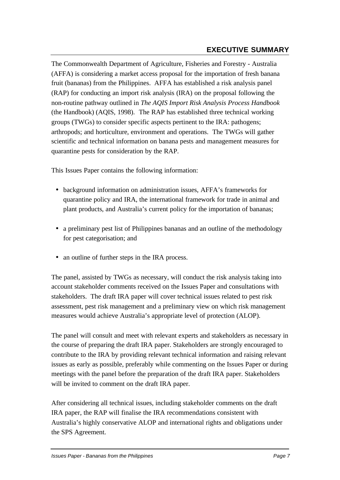The Commonwealth Department of Agriculture, Fisheries and Forestry - Australia (AFFA) is considering a market access proposal for the importation of fresh banana fruit (bananas) from the Philippines. AFFA has established a risk analysis panel (RAP) for conducting an import risk analysis (IRA) on the proposal following the non-routine pathway outlined in *The AQIS Import Risk Analysis Process Handbook* (the Handbook) (AQIS, 1998). The RAP has established three technical working groups (TWGs) to consider specific aspects pertinent to the IRA: pathogens; arthropods; and horticulture, environment and operations. The TWGs will gather scientific and technical information on banana pests and management measures for quarantine pests for consideration by the RAP.

This Issues Paper contains the following information:

- background information on administration issues, AFFA's frameworks for quarantine policy and IRA, the international framework for trade in animal and plant products, and Australia's current policy for the importation of bananas;
- a preliminary pest list of Philippines bananas and an outline of the methodology for pest categorisation; and
- an outline of further steps in the IRA process.

The panel, assisted by TWGs as necessary, will conduct the risk analysis taking into account stakeholder comments received on the Issues Paper and consultations with stakeholders. The draft IRA paper will cover technical issues related to pest risk assessment, pest risk management and a preliminary view on which risk management measures would achieve Australia's appropriate level of protection (ALOP).

The panel will consult and meet with relevant experts and stakeholders as necessary in the course of preparing the draft IRA paper. Stakeholders are strongly encouraged to contribute to the IRA by providing relevant technical information and raising relevant issues as early as possible, preferably while commenting on the Issues Paper or during meetings with the panel before the preparation of the draft IRA paper. Stakeholders will be invited to comment on the draft IRA paper.

After considering all technical issues, including stakeholder comments on the draft IRA paper, the RAP will finalise the IRA recommendations consistent with Australia's highly conservative ALOP and international rights and obligations under the SPS Agreement.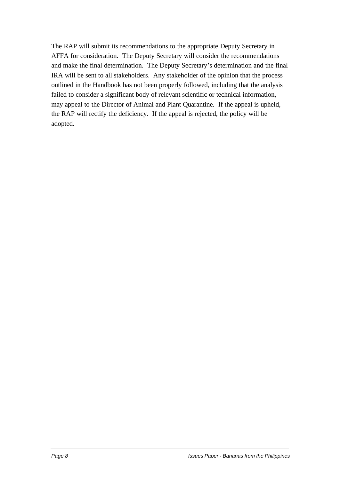The RAP will submit its recommendations to the appropriate Deputy Secretary in AFFA for consideration. The Deputy Secretary will consider the recommendations and make the final determination. The Deputy Secretary's determination and the final IRA will be sent to all stakeholders. Any stakeholder of the opinion that the process outlined in the Handbook has not been properly followed, including that the analysis failed to consider a significant body of relevant scientific or technical information, may appeal to the Director of Animal and Plant Quarantine. If the appeal is upheld, the RAP will rectify the deficiency. If the appeal is rejected, the policy will be adopted.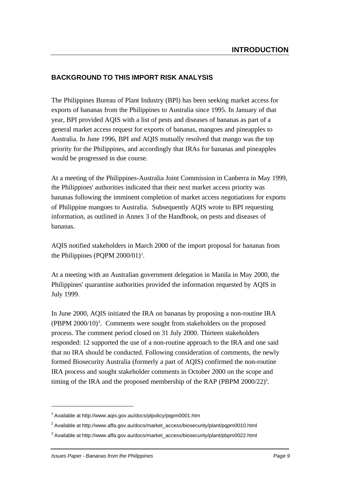# **BACKGROUND TO THIS IMPORT RISK ANALYSIS**

The Philippines Bureau of Plant Industry (BPI) has been seeking market access for exports of bananas from the Philippines to Australia since 1995. In January of that year, BPI provided AQIS with a list of pests and diseases of bananas as part of a general market access request for exports of bananas, mangoes and pineapples to Australia. In June 1996, BPI and AQIS mutually resolved that mango was the top priority for the Philippines, and accordingly that IRAs for bananas and pineapples would be progressed in due course.

At a meeting of the Philippines-Australia Joint Commission in Canberra in May 1999, the Philippines' authorities indicated that their next market access priority was bananas following the imminent completion of market access negotiations for exports of Philippine mangoes to Australia. Subsequently AQIS wrote to BPI requesting information, as outlined in Annex 3 of the Handbook, on pests and diseases of bananas.

AQIS notified stakeholders in March 2000 of the import proposal for bananas from the Philippines (PQPM  $2000/01$ <sup>1</sup>.

At a meeting with an Australian government delegation in Manila in May 2000, the Philippines' quarantine authorities provided the information requested by AQIS in July 1999.

In June 2000, AQIS initiated the IRA on bananas by proposing a non-routine IRA (PBPM 2000/10)<sup>2</sup>. Comments were sought from stakeholders on the proposed process. The comment period closed on 31 July 2000. Thirteen stakeholders responded: 12 supported the use of a non-routine approach to the IRA and one said that no IRA should be conducted. Following consideration of comments, the newly formed Biosecurity Australia (formerly a part of AQIS) confirmed the non-routine IRA process and sought stakeholder comments in October 2000 on the scope and timing of the IRA and the proposed membership of the RAP (PBPM 2000/22)<sup>3</sup>.

<sup>&</sup>lt;sup>1</sup> Available at http://www.aqis.gov.au/docs/plpolicy/pqpm0001.htm

 $^{\rm 2}$  Available at http://www.affa.gov.au/docs/market\_access/biosecurity/plant/pqpm0010.html

 $^3$  Available at http://www.affa.gov.au/docs/market\_access/biosecurity/plant/pbpm0022.html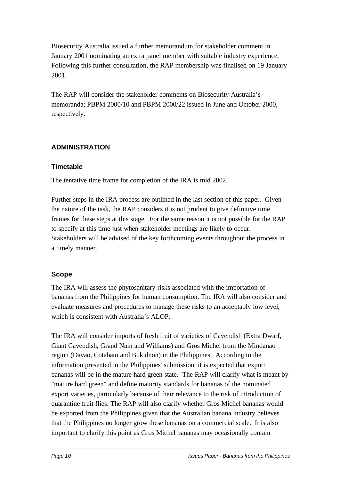Biosecurity Australia issued a further memorandum for stakeholder comment in January 2001 nominating an extra panel member with suitable industry experience. Following this further consultation, the RAP membership was finalised on 19 January 2001.

The RAP will consider the stakeholder comments on Biosecurity Australia's memoranda; PBPM 2000/10 and PBPM 2000/22 issued in June and October 2000, respectively.

# **ADMINISTRATION**

### **Timetable**

The tentative time frame for completion of the IRA is mid 2002.

Further steps in the IRA process are outlined in the last section of this paper. Given the nature of the task, the RAP considers it is not prudent to give definitive time frames for these steps at this stage. For the same reason it is not possible for the RAP to specify at this time just when stakeholder meetings are likely to occur. Stakeholders will be advised of the key forthcoming events throughout the process in a timely manner.

# **Scope**

The IRA will assess the phytosanitary risks associated with the importation of bananas from the Philippines for human consumption. The IRA will also consider and evaluate measures and procedures to manage these risks to an acceptably low level, which is consistent with Australia's ALOP.

The IRA will consider imports of fresh fruit of varieties of Cavendish (Extra Dwarf, Giant Cavendish, Grand Nain and Williams) and Gros Michel from the Mindanao region (Davao, Cotabato and Bukidnon) in the Philippines. According to the information presented in the Philippines' submission, it is expected that export bananas will be in the mature hard green state. The RAP will clarify what is meant by "mature hard green" and define maturity standards for bananas of the nominated export varieties, particularly because of their relevance to the risk of introduction of quarantine fruit flies. The RAP will also clarify whether Gros Michel bananas would be exported from the Philippines given that the Australian banana industry believes that the Philippines no longer grow these bananas on a commercial scale. It is also important to clarify this point as Gros Michel bananas may occasionally contain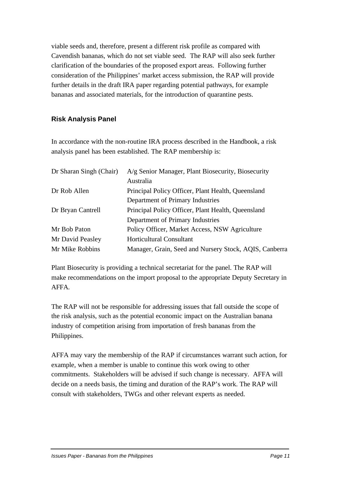viable seeds and, therefore, present a different risk profile as compared with Cavendish bananas, which do not set viable seed. The RAP will also seek further clarification of the boundaries of the proposed export areas. Following further consideration of the Philippines' market access submission, the RAP will provide further details in the draft IRA paper regarding potential pathways, for example bananas and associated materials, for the introduction of quarantine pests.

### **Risk Analysis Panel**

In accordance with the non-routine IRA process described in the Handbook, a risk analysis panel has been established. The RAP membership is:

| Dr Sharan Singh (Chair) | A/g Senior Manager, Plant Biosecurity, Biosecurity     |  |
|-------------------------|--------------------------------------------------------|--|
|                         | Australia                                              |  |
| Dr Rob Allen            | Principal Policy Officer, Plant Health, Queensland     |  |
|                         | Department of Primary Industries                       |  |
| Dr Bryan Cantrell       | Principal Policy Officer, Plant Health, Queensland     |  |
|                         | Department of Primary Industries                       |  |
| Mr Bob Paton            | Policy Officer, Market Access, NSW Agriculture         |  |
| Mr David Peasley        | <b>Horticultural Consultant</b>                        |  |
| Mr Mike Robbins         | Manager, Grain, Seed and Nursery Stock, AQIS, Canberra |  |
|                         |                                                        |  |

Plant Biosecurity is providing a technical secretariat for the panel. The RAP will make recommendations on the import proposal to the appropriate Deputy Secretary in AFFA.

The RAP will not be responsible for addressing issues that fall outside the scope of the risk analysis, such as the potential economic impact on the Australian banana industry of competition arising from importation of fresh bananas from the Philippines.

AFFA may vary the membership of the RAP if circumstances warrant such action, for example, when a member is unable to continue this work owing to other commitments. Stakeholders will be advised if such change is necessary. AFFA will decide on a needs basis, the timing and duration of the RAP's work. The RAP will consult with stakeholders, TWGs and other relevant experts as needed.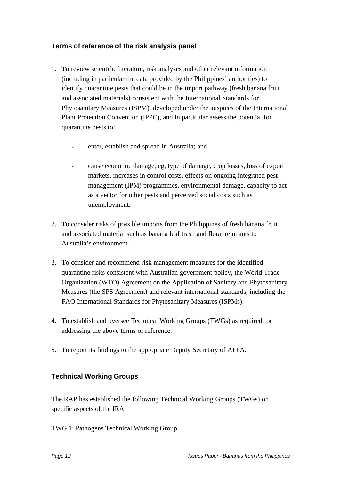# **Terms of reference of the risk analysis panel**

- 1. To review scientific literature, risk analyses and other relevant information (including in particular the data provided by the Philippines' authorities) to identify quarantine pests that could be in the import pathway (fresh banana fruit and associated materials) consistent with the International Standards for Phytosanitary Measures (ISPM), developed under the auspices of the International Plant Protection Convention (IPPC), and in particular assess the potential for quarantine pests to:
	- enter, establish and spread in Australia; and
	- cause economic damage, eg, type of damage, crop losses, loss of export markets, increases in control costs, effects on ongoing integrated pest management (IPM) programmes, environmental damage, capacity to act as a vector for other pests and perceived social costs such as unemployment.
- 2. To consider risks of possible imports from the Philippines of fresh banana fruit and associated material such as banana leaf trash and floral remnants to Australia's environment.
- 3. To consider and recommend risk management measures for the identified quarantine risks consistent with Australian government policy, the World Trade Organization (WTO) Agreement on the Application of Sanitary and Phytosanitary Measures (the SPS Agreement) and relevant international standards, including the FAO International Standards for Phytosanitary Measures (ISPMs).
- 4. To establish and oversee Technical Working Groups (TWGs) as required for addressing the above terms of reference.
- 5. To report its findings to the appropriate Deputy Secretary of AFFA.

# **Technical Working Groups**

The RAP has established the following Technical Working Groups (TWGs) on specific aspects of the IRA.

TWG 1: Pathogens Technical Working Group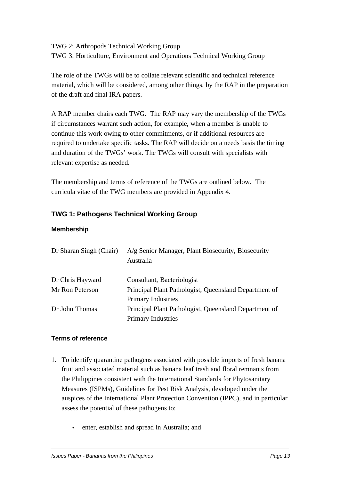TWG 2: Arthropods Technical Working Group TWG 3: Horticulture, Environment and Operations Technical Working Group

The role of the TWGs will be to collate relevant scientific and technical reference material, which will be considered, among other things, by the RAP in the preparation of the draft and final IRA papers.

A RAP member chairs each TWG. The RAP may vary the membership of the TWGs if circumstances warrant such action, for example, when a member is unable to continue this work owing to other commitments, or if additional resources are required to undertake specific tasks. The RAP will decide on a needs basis the timing and duration of the TWGs' work. The TWGs will consult with specialists with relevant expertise as needed.

The membership and terms of reference of the TWGs are outlined below. The curricula vitae of the TWG members are provided in Appendix 4.

# **TWG 1: Pathogens Technical Working Group**

### **Membership**

| Dr Sharan Singh (Chair) | A/g Senior Manager, Plant Biosecurity, Biosecurity<br>Australia |
|-------------------------|-----------------------------------------------------------------|
| Dr Chris Hayward        | Consultant, Bacteriologist                                      |
| Mr Ron Peterson         | Principal Plant Pathologist, Queensland Department of           |
|                         | <b>Primary Industries</b>                                       |
| Dr John Thomas          | Principal Plant Pathologist, Queensland Department of           |
|                         | <b>Primary Industries</b>                                       |

### **Terms of reference**

- 1. To identify quarantine pathogens associated with possible imports of fresh banana fruit and associated material such as banana leaf trash and floral remnants from the Philippines consistent with the International Standards for Phytosanitary Measures (ISPMs), Guidelines for Pest Risk Analysis, developed under the auspices of the International Plant Protection Convention (IPPC), and in particular assess the potential of these pathogens to:
	- enter, establish and spread in Australia; and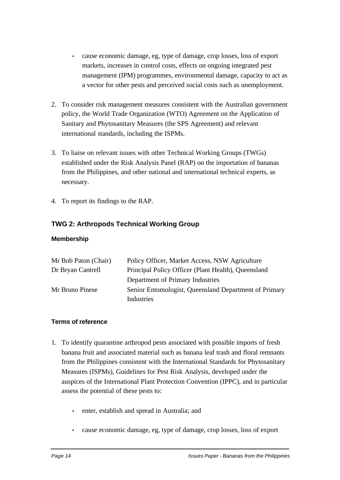- cause economic damage, eg, type of damage, crop losses, loss of export markets, increases in control costs, effects on ongoing integrated pest management (IPM) programmes, environmental damage, capacity to act as a vector for other pests and perceived social costs such as unemployment.
- 2. To consider risk management measures consistent with the Australian government policy, the World Trade Organization (WTO) Agreement on the Application of Sanitary and Phytosanitary Measures (the SPS Agreement) and relevant international standards, including the ISPMs.
- 3. To liaise on relevant issues with other Technical Working Groups (TWGs) established under the Risk Analysis Panel (RAP) on the importation of bananas from the Philippines, and other national and international technical experts, as necessary.
- 4. To report its findings to the RAP.

# **TWG 2: Arthropods Technical Working Group**

# **Membership**

| Mr Bob Paton (Chair) | Policy Officer, Market Access, NSW Agriculture        |
|----------------------|-------------------------------------------------------|
| Dr Bryan Cantrell    | Principal Policy Officer (Plant Health), Queensland   |
|                      | Department of Primary Industries                      |
| Mr Bruno Pinese      | Senior Entomologist, Queensland Department of Primary |
|                      | Industries                                            |

### **Terms of reference**

- 1. To identify quarantine arthropod pests associated with possible imports of fresh banana fruit and associated material such as banana leaf trash and floral remnants from the Philippines consistent with the International Standards for Phytosanitary Measures (ISPMs), Guidelines for Pest Risk Analysis, developed under the auspices of the International Plant Protection Convention (IPPC), and in particular assess the potential of these pests to:
	- enter, establish and spread in Australia; and
	- cause economic damage, eg, type of damage, crop losses, loss of export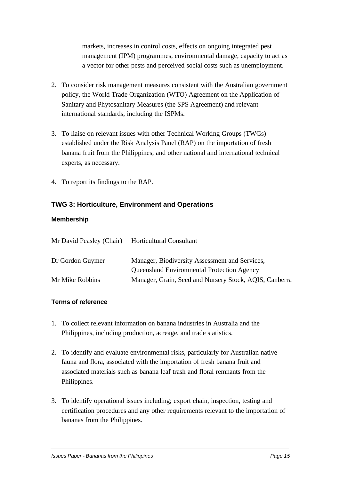markets, increases in control costs, effects on ongoing integrated pest management (IPM) programmes, environmental damage, capacity to act as a vector for other pests and perceived social costs such as unemployment.

- 2. To consider risk management measures consistent with the Australian government policy, the World Trade Organization (WTO) Agreement on the Application of Sanitary and Phytosanitary Measures (the SPS Agreement) and relevant international standards, including the ISPMs.
- 3. To liaise on relevant issues with other Technical Working Groups (TWGs) established under the Risk Analysis Panel (RAP) on the importation of fresh banana fruit from the Philippines, and other national and international technical experts, as necessary.
- 4. To report its findings to the RAP.

### **TWG 3: Horticulture, Environment and Operations**

### **Membership**

| Mr David Peasley (Chair) | <b>Horticultural Consultant</b>                        |
|--------------------------|--------------------------------------------------------|
| Dr Gordon Guymer         | Manager, Biodiversity Assessment and Services,         |
|                          | <b>Oueensland Environmental Protection Agency</b>      |
| Mr Mike Robbins          | Manager, Grain, Seed and Nursery Stock, AQIS, Canberra |

### **Terms of reference**

- 1. To collect relevant information on banana industries in Australia and the Philippines, including production, acreage, and trade statistics.
- 2. To identify and evaluate environmental risks, particularly for Australian native fauna and flora, associated with the importation of fresh banana fruit and associated materials such as banana leaf trash and floral remnants from the Philippines.
- 3. To identify operational issues including; export chain, inspection, testing and certification procedures and any other requirements relevant to the importation of bananas from the Philippines.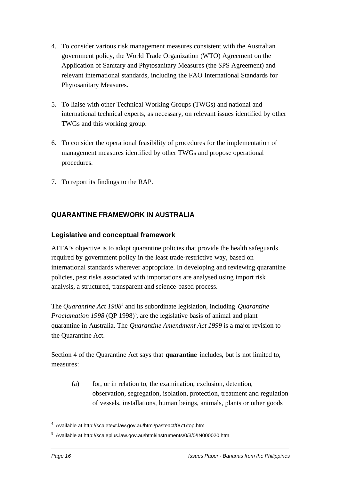- 4. To consider various risk management measures consistent with the Australian government policy, the World Trade Organization (WTO) Agreement on the Application of Sanitary and Phytosanitary Measures (the SPS Agreement) and relevant international standards, including the FAO International Standards for Phytosanitary Measures.
- 5. To liaise with other Technical Working Groups (TWGs) and national and international technical experts, as necessary, on relevant issues identified by other TWGs and this working group.
- 6. To consider the operational feasibility of procedures for the implementation of management measures identified by other TWGs and propose operational procedures.
- 7. To report its findings to the RAP.

# **QUARANTINE FRAMEWORK IN AUSTRALIA**

# **Legislative and conceptual framework**

AFFA's objective is to adopt quarantine policies that provide the health safeguards required by government policy in the least trade-restrictive way, based on international standards wherever appropriate. In developing and reviewing quarantine policies, pest risks associated with importations are analysed using import risk analysis, a structured, transparent and science-based process.

The *Quarantine Act 1908<sup>4</sup>* and its subordinate legislation, including *Quarantine* Proclamation 1998 (QP 1998)<sup>5</sup>, are the legislative basis of animal and plant quarantine in Australia. The *Quarantine Amendment Act 1999* is a major revision to the Quarantine Act.

Section 4 of the Quarantine Act says that **quarantine** includes, but is not limited to, measures:

(a) for, or in relation to, the examination, exclusion, detention, observation, segregation, isolation, protection, treatment and regulation of vessels, installations, human beings, animals, plants or other goods

<sup>4</sup> Available at http://scaletext.law.gov.au/html/pasteact/0/71/top.htm

<sup>&</sup>lt;sup>5</sup> Available at http://scaleplus.law.gov.au/html/instruments/0/3/0/IN000020.htm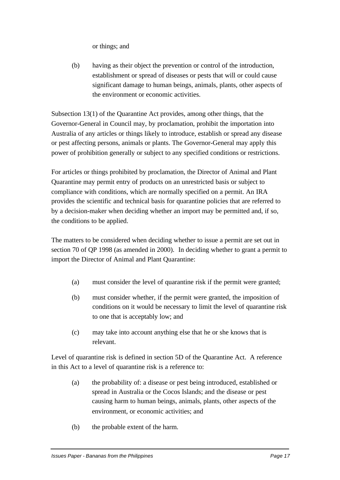or things; and

(b) having as their object the prevention or control of the introduction, establishment or spread of diseases or pests that will or could cause significant damage to human beings, animals, plants, other aspects of the environment or economic activities.

Subsection 13(1) of the Quarantine Act provides, among other things, that the Governor-General in Council may, by proclamation, prohibit the importation into Australia of any articles or things likely to introduce, establish or spread any disease or pest affecting persons, animals or plants. The Governor-General may apply this power of prohibition generally or subject to any specified conditions or restrictions.

For articles or things prohibited by proclamation, the Director of Animal and Plant Quarantine may permit entry of products on an unrestricted basis or subject to compliance with conditions, which are normally specified on a permit. An IRA provides the scientific and technical basis for quarantine policies that are referred to by a decision-maker when deciding whether an import may be permitted and, if so, the conditions to be applied.

The matters to be considered when deciding whether to issue a permit are set out in section 70 of QP 1998 (as amended in 2000). In deciding whether to grant a permit to import the Director of Animal and Plant Quarantine:

- (a) must consider the level of quarantine risk if the permit were granted;
- (b) must consider whether, if the permit were granted, the imposition of conditions on it would be necessary to limit the level of quarantine risk to one that is acceptably low; and
- (c) may take into account anything else that he or she knows that is relevant.

Level of quarantine risk is defined in section 5D of the Quarantine Act. A reference in this Act to a level of quarantine risk is a reference to:

- (a) the probability of: a disease or pest being introduced, established or spread in Australia or the Cocos Islands; and the disease or pest causing harm to human beings, animals, plants, other aspects of the environment, or economic activities; and
- (b) the probable extent of the harm.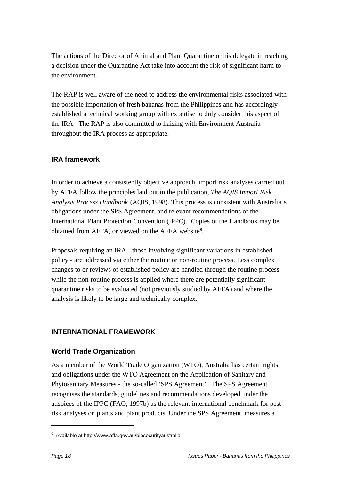The actions of the Director of Animal and Plant Quarantine or his delegate in reaching a decision under the Quarantine Act take into account the risk of significant harm to the environment.

The RAP is well aware of the need to address the environmental risks associated with the possible importation of fresh bananas from the Philippines and has accordingly established a technical working group with expertise to duly consider this aspect of the IRA. The RAP is also committed to liaising with Environment Australia throughout the IRA process as appropriate.

# **IRA framework**

In order to achieve a consistently objective approach, import risk analyses carried out by AFFA follow the principles laid out in the publication, *The AQIS Import Risk Analysis Process Handbook* (AQIS, 1998). This process is consistent with Australia's obligations under the SPS Agreement, and relevant recommendations of the International Plant Protection Convention (IPPC). Copies of the Handbook may be obtained from AFFA, or viewed on the AFFA website<sup>6</sup>.

Proposals requiring an IRA - those involving significant variations in established policy - are addressed via either the routine or non-routine process. Less complex changes to or reviews of established policy are handled through the routine process while the non-routine process is applied where there are potentially significant quarantine risks to be evaluated (not previously studied by AFFA) and where the analysis is likely to be large and technically complex.

# **INTERNATIONAL FRAMEWORK**

# **World Trade Organization**

As a member of the World Trade Organization (WTO), Australia has certain rights and obligations under the WTO Agreement on the Application of Sanitary and Phytosanitary Measures - the so-called 'SPS Agreement'. The SPS Agreement recognises the standards, guidelines and recommendations developed under the auspices of the IPPC (FAO, 1997b) as the relevant international benchmark for pest risk analyses on plants and plant products. Under the SPS Agreement, measures a

<sup>6</sup> Available at http://www.affa.gov.au/biosecurityaustralia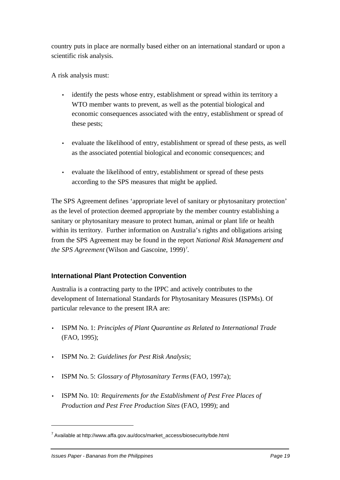country puts in place are normally based either on an international standard or upon a scientific risk analysis.

A risk analysis must:

- identify the pests whose entry, establishment or spread within its territory a WTO member wants to prevent, as well as the potential biological and economic consequences associated with the entry, establishment or spread of these pests;
- evaluate the likelihood of entry, establishment or spread of these pests, as well as the associated potential biological and economic consequences; and
- evaluate the likelihood of entry, establishment or spread of these pests according to the SPS measures that might be applied.

The SPS Agreement defines 'appropriate level of sanitary or phytosanitary protection' as the level of protection deemed appropriate by the member country establishing a sanitary or phytosanitary measure to protect human, animal or plant life or health within its territory. Further information on Australia's rights and obligations arising from the SPS Agreement may be found in the report *National Risk Management and* the SPS Agreement (Wilson and Gascoine, 1999)<sup>7</sup>.

# **International Plant Protection Convention**

Australia is a contracting party to the IPPC and actively contributes to the development of International Standards for Phytosanitary Measures (ISPMs). Of particular relevance to the present IRA are:

- ISPM No. 1: *Principles of Plant Quarantine as Related to International Trade* (FAO, 1995);
- ISPM No. 2: *Guidelines for Pest Risk Analysis*;
- ISPM No. 5: *Glossary of Phytosanitary Terms* (FAO, 1997a);
- ISPM No. 10: *Requirements for the Establishment of Pest Free Places of Production and Pest Free Production Sites* (FAO, 1999); and

<sup>&</sup>lt;sup>7</sup> Available at http://www.affa.gov.au/docs/market\_access/biosecurity/bde.html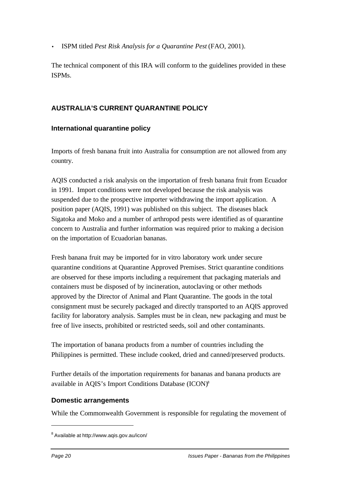• ISPM titled *Pest Risk Analysis for a Quarantine Pest* (FAO, 2001).

The technical component of this IRA will conform to the guidelines provided in these ISPMs.

# **AUSTRALIA'S CURRENT QUARANTINE POLICY**

# **International quarantine policy**

Imports of fresh banana fruit into Australia for consumption are not allowed from any country.

AQIS conducted a risk analysis on the importation of fresh banana fruit from Ecuador in 1991. Import conditions were not developed because the risk analysis was suspended due to the prospective importer withdrawing the import application. A position paper (AQIS, 1991) was published on this subject. The diseases black Sigatoka and Moko and a number of arthropod pests were identified as of quarantine concern to Australia and further information was required prior to making a decision on the importation of Ecuadorian bananas.

Fresh banana fruit may be imported for in vitro laboratory work under secure quarantine conditions at Quarantine Approved Premises. Strict quarantine conditions are observed for these imports including a requirement that packaging materials and containers must be disposed of by incineration, autoclaving or other methods approved by the Director of Animal and Plant Quarantine. The goods in the total consignment must be securely packaged and directly transported to an AQIS approved facility for laboratory analysis. Samples must be in clean, new packaging and must be free of live insects, prohibited or restricted seeds, soil and other contaminants.

The importation of banana products from a number of countries including the Philippines is permitted. These include cooked, dried and canned/preserved products.

Further details of the importation requirements for bananas and banana products are available in AQIS's Import Conditions Database (ICON)<sup>8</sup>

### **Domestic arrangements**

While the Commonwealth Government is responsible for regulating the movement of

<sup>&</sup>lt;sup>8</sup> Available at http://www.aqis.gov.au/icon/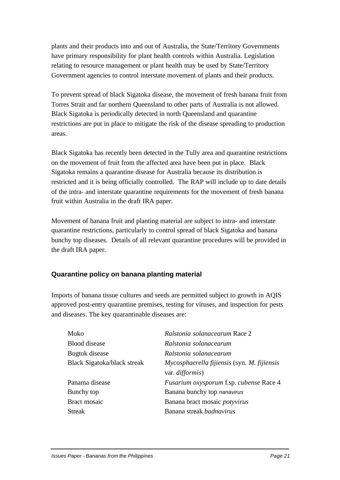plants and their products into and out of Australia, the State/Territory Governments have primary responsibility for plant health controls within Australia. Legislation relating to resource management or plant health may be used by State/Territory Government agencies to control interstate movement of plants and their products.

To prevent spread of black Sigatoka disease, the movement of fresh banana fruit from Torres Strait and far northern Queensland to other parts of Australia is not allowed. Black Sigatoka is periodically detected in north Queensland and quarantine restrictions are put in place to mitigate the risk of the disease spreading to production areas.

Black Sigatoka has recently been detected in the Tully area and quarantine restrictions on the movement of fruit from the affected area have been put in place. Black Sigatoka remains a quarantine disease for Australia because its distribution is restricted and it is being officially controlled. The RAP will include up to date details of the intra- and interstate quarantine requirements for the movement of fresh banana fruit within Australia in the draft IRA paper.

Movement of banana fruit and planting material are subject to intra- and interstate quarantine restrictions, particularly to control spread of black Sigatoka and banana bunchy top diseases. Details of all relevant quarantine procedures will be provided in the draft IRA paper.

# **Quarantine policy on banana planting material**

Imports of banana tissue cultures and seeds are permitted subject to growth in AQIS approved post-entry quarantine premises, testing for viruses, and inspection for pests and diseases. The key quarantinable diseases are:

| Moko                               | Ralstonia solanacearum Race 2                                  |
|------------------------------------|----------------------------------------------------------------|
| <b>Blood disease</b>               | Ralstonia solanacearum                                         |
| <b>Bugtok</b> disease              | Ralstonia solanacearum                                         |
| <b>Black Sigatoka/black streak</b> | Mycosphaerella fijiensis (syn. M. fijiensis<br>var. difformis) |
| Panama disease                     | Fusarium oxysporum f.sp. cubense Race 4                        |
| Bunchy top                         | Banana bunchy top nanavirus                                    |
| Bract mosaic                       | Banana bract mosaic potyvirus                                  |
| Streak                             | Banana streak <i>badnavirus</i>                                |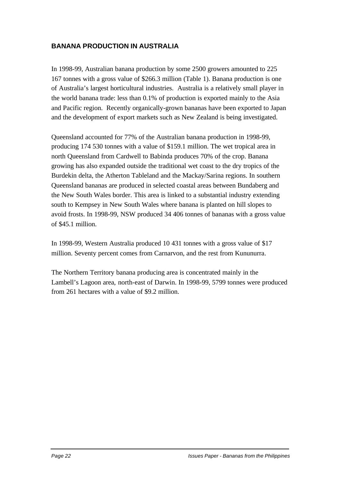# **BANANA PRODUCTION IN AUSTRALIA**

In 1998-99, Australian banana production by some 2500 growers amounted to 225 167 tonnes with a gross value of \$266.3 million (Table 1). Banana production is one of Australia's largest horticultural industries. Australia is a relatively small player in the world banana trade: less than 0.1% of production is exported mainly to the Asia and Pacific region. Recently organically-grown bananas have been exported to Japan and the development of export markets such as New Zealand is being investigated.

Queensland accounted for 77% of the Australian banana production in 1998-99, producing 174 530 tonnes with a value of \$159.1 million. The wet tropical area in north Queensland from Cardwell to Babinda produces 70% of the crop. Banana growing has also expanded outside the traditional wet coast to the dry tropics of the Burdekin delta, the Atherton Tableland and the Mackay/Sarina regions. In southern Queensland bananas are produced in selected coastal areas between Bundaberg and the New South Wales border. This area is linked to a substantial industry extending south to Kempsey in New South Wales where banana is planted on hill slopes to avoid frosts. In 1998-99, NSW produced 34 406 tonnes of bananas with a gross value of \$45.1 million.

In 1998-99, Western Australia produced 10 431 tonnes with a gross value of \$17 million. Seventy percent comes from Carnarvon, and the rest from Kununurra.

The Northern Territory banana producing area is concentrated mainly in the Lambell's Lagoon area, north-east of Darwin. In 1998-99, 5799 tonnes were produced from 261 hectares with a value of \$9.2 million.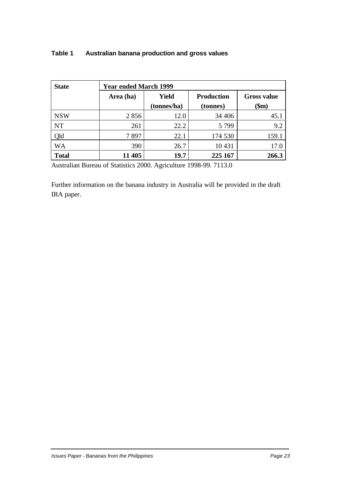### **Table 1 Australian banana production and gross values**

| <b>State</b> | <b>Year ended March 1999</b> |             |                   |                    |
|--------------|------------------------------|-------------|-------------------|--------------------|
|              | Area (ha)                    | Yield       | <b>Production</b> | <b>Gross value</b> |
|              |                              | (tonnes/ha) | (tonnes)          | \$m\$              |
| <b>NSW</b>   | 2856                         | 12.0        | 34 40 6           | 45.1               |
| <b>NT</b>    | 261                          | 22.2        | 5799              | 9.2                |
| Qld          | 7897                         | 22.1        | 174 530           | 159.1              |
| <b>WA</b>    | 390                          | 26.7        | 10431             | 17.0               |
| <b>Total</b> | 11 405                       | 19.7        | 225 167           | 266.3              |

Australian Bureau of Statistics 2000. Agriculture 1998-99. 7113.0

Further information on the banana industry in Australia will be provided in the draft IRA paper.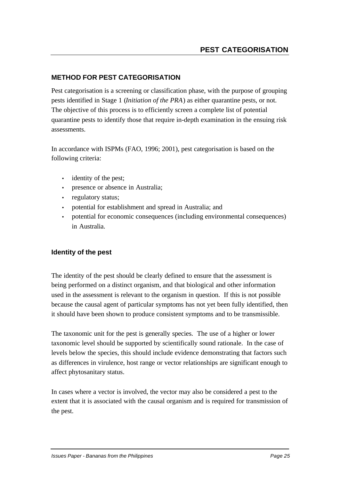# **METHOD FOR PEST CATEGORISATION**

Pest categorisation is a screening or classification phase, with the purpose of grouping pests identified in Stage 1 (*Initiation of the PRA*) as either quarantine pests, or not. The objective of this process is to efficiently screen a complete list of potential quarantine pests to identify those that require in-depth examination in the ensuing risk assessments.

In accordance with ISPMs (FAO, 1996; 2001), pest categorisation is based on the following criteria:

- identity of the pest;
- presence or absence in Australia;
- regulatory status;
- potential for establishment and spread in Australia; and
- potential for economic consequences (including environmental consequences) in Australia.

### **Identity of the pest**

The identity of the pest should be clearly defined to ensure that the assessment is being performed on a distinct organism, and that biological and other information used in the assessment is relevant to the organism in question. If this is not possible because the causal agent of particular symptoms has not yet been fully identified, then it should have been shown to produce consistent symptoms and to be transmissible.

The taxonomic unit for the pest is generally species. The use of a higher or lower taxonomic level should be supported by scientifically sound rationale. In the case of levels below the species, this should include evidence demonstrating that factors such as differences in virulence, host range or vector relationships are significant enough to affect phytosanitary status.

In cases where a vector is involved, the vector may also be considered a pest to the extent that it is associated with the causal organism and is required for transmission of the pest.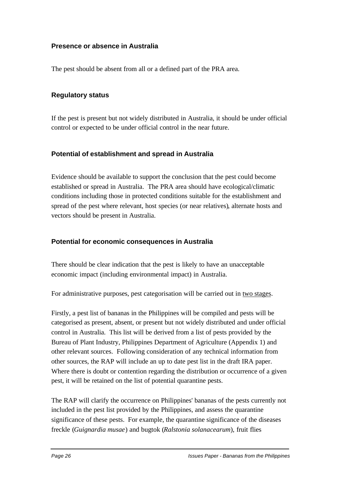# **Presence or absence in Australia**

The pest should be absent from all or a defined part of the PRA area.

### **Regulatory status**

If the pest is present but not widely distributed in Australia, it should be under official control or expected to be under official control in the near future.

### **Potential of establishment and spread in Australia**

Evidence should be available to support the conclusion that the pest could become established or spread in Australia. The PRA area should have ecological/climatic conditions including those in protected conditions suitable for the establishment and spread of the pest where relevant, host species (or near relatives), alternate hosts and vectors should be present in Australia.

### **Potential for economic consequences in Australia**

There should be clear indication that the pest is likely to have an unacceptable economic impact (including environmental impact) in Australia.

For administrative purposes, pest categorisation will be carried out in two stages.

Firstly, a pest list of bananas in the Philippines will be compiled and pests will be categorised as present, absent, or present but not widely distributed and under official control in Australia. This list will be derived from a list of pests provided by the Bureau of Plant Industry, Philippines Department of Agriculture (Appendix 1) and other relevant sources. Following consideration of any technical information from other sources, the RAP will include an up to date pest list in the draft IRA paper. Where there is doubt or contention regarding the distribution or occurrence of a given pest, it will be retained on the list of potential quarantine pests.

The RAP will clarify the occurrence on Philippines' bananas of the pests currently not included in the pest list provided by the Philippines, and assess the quarantine significance of these pests. For example, the quarantine significance of the diseases freckle (*Guignardia musae*) and bugtok (*Ralstonia solanacearum*), fruit flies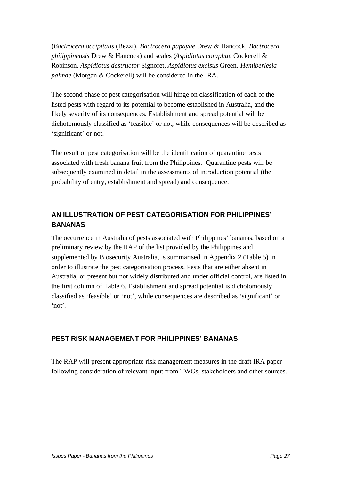(*Bactrocera occipitalis* (Bezzi), *Bactrocera papayae* Drew & Hancock, *Bactrocera philippinensis* Drew & Hancock) and scales (*Aspidiotus coryphae* Cockerell & Robinson, *Aspidiotus destructor* Signoret, *Aspidiotus excisus* Green, *Hemiberlesia palmae* (Morgan & Cockerell) will be considered in the IRA.

The second phase of pest categorisation will hinge on classification of each of the listed pests with regard to its potential to become established in Australia, and the likely severity of its consequences. Establishment and spread potential will be dichotomously classified as 'feasible' or not, while consequences will be described as 'significant' or not.

The result of pest categorisation will be the identification of quarantine pests associated with fresh banana fruit from the Philippines. Quarantine pests will be subsequently examined in detail in the assessments of introduction potential (the probability of entry, establishment and spread) and consequence.

# **AN ILLUSTRATION OF PEST CATEGORISATION FOR PHILIPPINES' BANANAS**

The occurrence in Australia of pests associated with Philippines' bananas, based on a preliminary review by the RAP of the list provided by the Philippines and supplemented by Biosecurity Australia, is summarised in Appendix 2 (Table 5) in order to illustrate the pest categorisation process. Pests that are either absent in Australia, or present but not widely distributed and under official control, are listed in the first column of Table 6. Establishment and spread potential is dichotomously classified as 'feasible' or 'not', while consequences are described as 'significant' or 'not'.

# **PEST RISK MANAGEMENT FOR PHILIPPINES' BANANAS**

The RAP will present appropriate risk management measures in the draft IRA paper following consideration of relevant input from TWGs, stakeholders and other sources.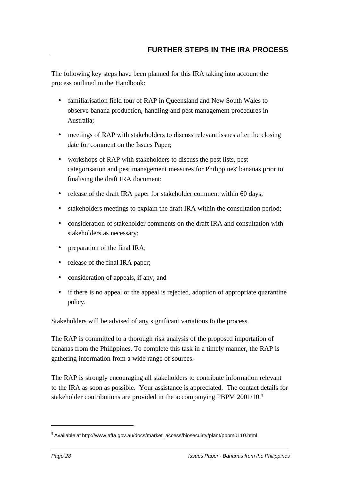The following key steps have been planned for this IRA taking into account the process outlined in the Handbook:

- familiarisation field tour of RAP in Queensland and New South Wales to observe banana production, handling and pest management procedures in Australia;
- meetings of RAP with stakeholders to discuss relevant issues after the closing date for comment on the Issues Paper;
- workshops of RAP with stakeholders to discuss the pest lists, pest categorisation and pest management measures for Philippines' bananas prior to finalising the draft IRA document;
- release of the draft IRA paper for stakeholder comment within 60 days;
- stakeholders meetings to explain the draft IRA within the consultation period;
- consideration of stakeholder comments on the draft IRA and consultation with stakeholders as necessary;
- preparation of the final IRA;
- release of the final IRA paper;
- consideration of appeals, if any; and
- if there is no appeal or the appeal is rejected, adoption of appropriate quarantine policy.

Stakeholders will be advised of any significant variations to the process.

The RAP is committed to a thorough risk analysis of the proposed importation of bananas from the Philippines. To complete this task in a timely manner, the RAP is gathering information from a wide range of sources.

The RAP is strongly encouraging all stakeholders to contribute information relevant to the IRA as soon as possible. Your assistance is appreciated. The contact details for stakeholder contributions are provided in the accompanying PBPM 2001/10.<sup>9</sup>

<sup>&</sup>lt;sup>9</sup> Available at http://www.affa.gov.au/docs/market\_access/biosecuirty/plant/pbpm0110.html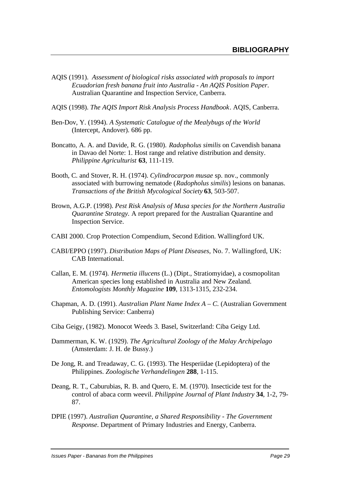- AQIS (1991). *Assessment of biological risks associated with proposals to import Ecuadorian fresh banana fruit into Australia - An AQIS Position Paper*. Australian Quarantine and Inspection Service, Canberra.
- AQIS (1998). *The AQIS Import Risk Analysis Process Handbook*. AQIS, Canberra.
- Ben-Dov, Y. (1994). *A Systematic Catalogue of the Mealybugs of the World* (Intercept, Andover). 686 pp.
- Boncatto, A. A. and Davide, R. G. (1980). *Radopholus similis* on Cavendish banana in Davao del Norte: 1. Host range and relative distribution and density. *Philippine Agriculturist* **63**, 111-119.
- Booth, C. and Stover, R. H. (1974). *Cylindrocarpon musae* sp. nov., commonly associated with burrowing nematode (*Radopholus similis*) lesions on bananas. *Transactions of the British Mycological Society* **63**, 503-507.
- Brown, A.G.P. (1998). *Pest Risk Analysis of Musa species for the Northern Australia Quarantine Strategy.* A report prepared for the Australian Quarantine and Inspection Service.
- CABI 2000. Crop Protection Compendium, Second Edition. Wallingford UK.
- CABI/EPPO (1997). *Distribution Maps of Plant Diseases*, No. 7. Wallingford, UK: CAB International.
- Callan, E. M. (1974). *Hermetia illucens* (L.) (Dipt., Stratiomyidae), a cosmopolitan American species long established in Australia and New Zealand. *Entomologists Monthly Magazine* **109**, 1313-1315, 232-234.
- Chapman, A. D. (1991). *Australian Plant Name Index A C.* (Australian Government Publishing Service: Canberra)
- Ciba Geigy, (1982). Monocot Weeds 3. Basel, Switzerland: Ciba Geigy Ltd.
- Dammerman, K. W. (1929). *The Agricultural Zoology of the Malay Archipelago* (Amsterdam: J. H. de Bussy.)
- De Jong, R. and Treadaway, C. G. (1993). The Hesperiidae (Lepidoptera) of the Philippines. *Zoologische Verhandelingen* **288**, 1-115.
- Deang, R. T., Caburubias, R. B. and Quero, E. M. (1970). Insecticide test for the control of abaca corm weevil. *Philippine Journal of Plant Industry* **34**, 1-2, 79- 87.
- DPIE (1997). *Australian Quarantine, a Shared Responsibility The Government Response*. Department of Primary Industries and Energy, Canberra.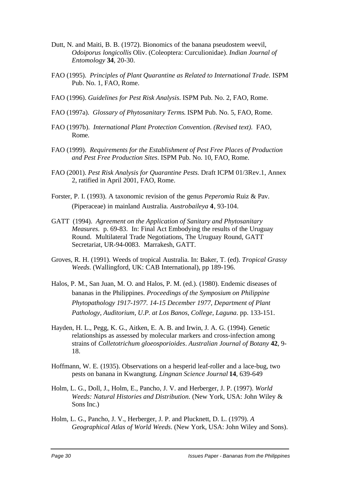- Dutt, N. and Maiti, B. B. (1972). Bionomics of the banana pseudostem weevil, *Odoiporus longicollis* Oliv. (Coleoptera: Curculionidae). *Indian Journal of Entomology* **34**, 20-30.
- FAO (1995). *Principles of Plant Quarantine as Related to International Trade*. ISPM Pub. No. 1, FAO, Rome.
- FAO (1996). *Guidelines for Pest Risk Analysis*. ISPM Pub. No. 2, FAO, Rome.
- FAO (1997a). *Glossary of Phytosanitary Terms*. ISPM Pub. No. 5, FAO, Rome.
- FAO (1997b). *International Plant Protection Convention. (Revised text).* FAO, Rome.
- FAO (1999). *Requirements for the Establishment of Pest Free Places of Production and Pest Free Production Sites*. ISPM Pub. No. 10, FAO, Rome.
- FAO (2001). *Pest Risk Analysis for Quarantine Pests.* Draft ICPM 01/3Rev.1, Annex 2, ratified in April 2001, FAO, Rome.
- Forster, P. I. (1993). A taxonomic revision of the genus *Peperomia* Ruiz & Pav. (Piperaceae) in mainland Australia. *Austrobaileya* **4**, 93-104.
- GATT (1994). *Agreement on the Application of Sanitary and Phytosanitary Measures*. p. 69-83. In: Final Act Embodying the results of the Uruguay Round. Multilateral Trade Negotiations, The Uruguay Round, GATT Secretariat, UR-94-0083. Marrakesh, GATT.
- Groves, R. H. (1991). Weeds of tropical Australia. In: Baker, T. (ed). *Tropical Grassy Weeds*. (Wallingford, UK: CAB International), pp 189-196.
- Halos, P. M., San Juan, M. O. and Halos, P. M. (ed.). (1980). Endemic diseases of bananas in the Philippines. *Proceedings of the Symposium on Philippine Phytopathology 1917-1977. 14-15 December 1977, Department of Plant Pathology, Auditorium, U.P. at Los Banos, College, Laguna*. pp. 133-151.
- Hayden, H. L., Pegg, K. G., Aitken, E. A. B. and Irwin, J. A. G. (1994). Genetic relationships as assessed by molecular markers and cross-infection among strains of *Colletotrichum gloeosporioides*. *Australian Journal of Botany* **42**, 9- 18.
- Hoffmann, W. E. (1935). Observations on a hesperid leaf-roller and a lace-bug, two pests on banana in Kwangtung. *Lingnan Science Journal* **14**, 639-649
- Holm, L. G., Doll, J., Holm, E., Pancho, J. V. and Herberger, J. P. (1997). *World Weeds: Natural Histories and Distribution*. (New York, USA: John Wiley & Sons Inc.)
- Holm, L. G., Pancho, J. V., Herberger, J. P. and Plucknett, D. L. (1979). *A Geographical Atlas of World Weeds*. (New York, USA: John Wiley and Sons).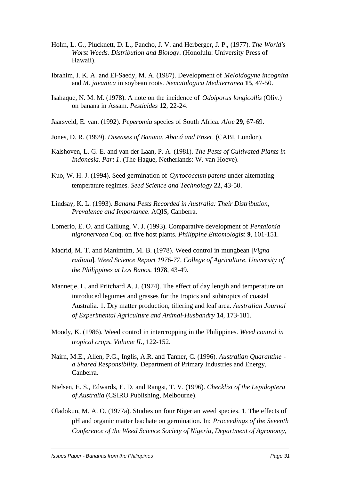- Holm, L. G., Plucknett, D. L., Pancho, J. V. and Herberger, J. P., (1977). *The World's Worst Weeds. Distribution and Biology*. (Honolulu: University Press of Hawaii).
- Ibrahim, I. K. A. and El-Saedy, M. A. (1987). Development of *Meloidogyne incognita* and *M. javanica* in soybean roots. *Nematologica Mediterranea* **15**, 47-50.
- Isahaque, N. M. M. (1978). A note on the incidence of *Odoiporus longicollis* (Oliv.) on banana in Assam. *Pesticides* **12**, 22-24.
- Jaarsveld, E. van. (1992). *Peperomia* species of South Africa. *Aloe* **29**, 67-69.
- Jones, D. R. (1999). *Diseases of Banana, Abacá and Enset*. (CABI, London).
- Kalshoven, L. G. E. and van der Laan, P. A. (1981). *The Pests of Cultivated Plants in Indonesia. Part 1*. (The Hague, Netherlands: W. van Hoeve).
- Kuo, W. H. J. (1994). Seed germination of *Cyrtococcum patens* under alternating temperature regimes. *Seed Science and Technology* **22**, 43-50.
- Lindsay, K. L. (1993). *Banana Pests Recorded in Australia: Their Distribution, Prevalence and Importance*. AQIS, Canberra.
- Lomerio, E. O. and Calilung, V. J. (1993). Comparative development of *Pentalonia nigronervosa* Coq. on five host plants. *Philippine Entomologist* **9**, 101-151.
- Madrid, M. T. and Manimtim, M. B. (1978). Weed control in mungbean [*Vigna radiata*]. *Weed Science Report 1976-77, College of Agriculture, University of the Philippines at Los Banos*. **1978**, 43-49.
- Mannetje, L. and Pritchard A. J. (1974). The effect of day length and temperature on introduced legumes and grasses for the tropics and subtropics of coastal Australia. 1. Dry matter production, tillering and leaf area. *Australian Journal of Experimental Agriculture and Animal-Husbandry* **14**, 173-181.
- Moody, K. (1986). Weed control in intercropping in the Philippines. *Weed control in tropical crops. Volume II*., 122-152.
- Nairn, M.E., Allen, P.G., Inglis, A.R. and Tanner, C. (1996). *Australian Quarantine a Shared Responsibility*. Department of Primary Industries and Energy, Canberra.
- Nielsen, E. S., Edwards, E. D. and Rangsi, T. V. (1996). *Checklist of the Lepidoptera of Australia* (CSIRO Publishing, Melbourne).
- Oladokun, M. A. O. (1977a). Studies on four Nigerian weed species. 1. The effects of pH and organic matter leachate on germination. In: *Proceedings of the Seventh Conference of the Weed Science Society of Nigeria, Department of Agronomy,*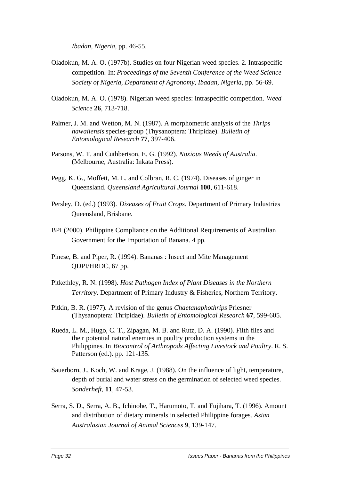*Ibadan, Nigeria*, pp. 46-55.

- Oladokun, M. A. O. (1977b). Studies on four Nigerian weed species. 2. Intraspecific competition. In: *Proceedings of the Seventh Conference of the Weed Science Society of Nigeria, Department of Agronomy, Ibadan, Nigeria*, pp. 56-69.
- Oladokun, M. A. O. (1978). Nigerian weed species: intraspecific competition. *Weed Science* **26**, 713-718.
- Palmer, J. M. and Wetton, M. N. (1987). A morphometric analysis of the *Thrips hawaiiensis* species-group (Thysanoptera: Thripidae). *Bulletin of Entomological Research* **77**, 397-406.
- Parsons, W. T. and Cuthbertson, E. G. (1992). *Noxious Weeds of Australia*. (Melbourne, Australia: Inkata Press).
- Pegg, K. G., Moffett, M. L. and Colbran, R. C. (1974). Diseases of ginger in Queensland. *Queensland Agricultural Journal* **100**, 611-618.
- Persley, D. (ed.) (1993). *Diseases of Fruit Crops*. Department of Primary Industries Queensland, Brisbane.
- BPI (2000). Philippine Compliance on the Additional Requirements of Australian Government for the Importation of Banana. 4 pp.
- Pinese, B. and Piper, R. (1994). Bananas : Insect and Mite Management QDPI/HRDC, 67 pp.
- Pitkethley, R. N. (1998). *Host Pathogen Index of Plant Diseases in the Northern Territory*. Department of Primary Industry & Fisheries, Northern Territory.
- Pitkin, B. R. (1977). A revision of the genus *Chaetanaphothrips* Priesner (Thysanoptera: Thripidae). *Bulletin of Entomological Research* **67**, 599-605.
- Rueda, L. M., Hugo, C. T., Zipagan, M. B. and Rutz, D. A. (1990). Filth flies and their potential natural enemies in poultry production systems in the Philippines. In *Biocontrol of Arthropods Affecting Livestock and Poultry*. R. S. Patterson (ed.). pp. 121-135.
- Sauerborn, J., Koch, W. and Krage, J. (1988). On the influence of light, temperature, depth of burial and water stress on the germination of selected weed species. *Sonderheft*, **11**, 47-53.
- Serra, S. D., Serra, A. B., Ichinohe, T., Harumoto, T. and Fujihara, T. (1996). Amount and distribution of dietary minerals in selected Philippine forages. *Asian Australasian Journal of Animal Sciences* **9**, 139-147.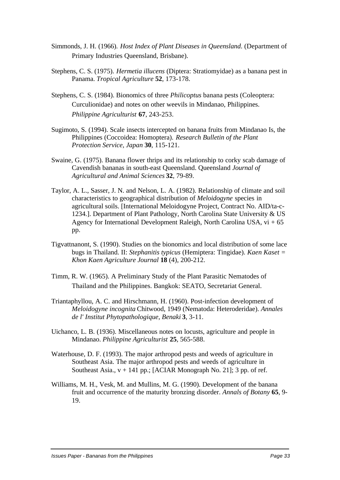- Simmonds, J. H. (1966). *Host Index of Plant Diseases in Queensland*. (Department of Primary Industries Queensland, Brisbane).
- Stephens, C. S. (1975). *Hermetia illucens* (Diptera: Stratiomyidae) as a banana pest in Panama. *Tropical Agriculture* **52**, 173-178.
- Stephens, C. S. (1984). Bionomics of three *Philicoptus* banana pests (Coleoptera: Curculionidae) and notes on other weevils in Mindanao, Philippines. *Philippine Agriculturist* **67**, 243-253.
- Sugimoto, S. (1994). Scale insects intercepted on banana fruits from Mindanao Is, the Philippines (Coccoidea: Homoptera). *Research Bulletin of the Plant Protection Service, Japan* **30**, 115-121.
- Swaine, G. (1975). Banana flower thrips and its relationship to corky scab damage of Cavendish bananas in south-east Queensland. Queensland *Journal of Agricultural and Animal Sciences* **32**, 79-89.
- Taylor, A. L., Sasser, J. N. and Nelson, L. A. (1982). Relationship of climate and soil characteristics to geographical distribution of *Meloidogyne* species in agricultural soils. [International Meloidogyne Project, Contract No. AID/ta-c-1234.]. Department of Plant Pathology, North Carolina State University & US Agency for International Development Raleigh, North Carolina USA,  $vi + 65$ pp.
- Tigvattnanont, S. (1990). Studies on the bionomics and local distribution of some lace bugs in Thailand. II: *Stephanitis typicus* (Hemiptera: Tingidae). *Kaen Kaset = Khon Kaen Agriculture Journal* **18** (4), 200-212.
- Timm, R. W. (1965). A Preliminary Study of the Plant Parasitic Nematodes of Thailand and the Philippines. Bangkok: SEATO, Secretariat General.
- Triantaphyllou, A. C. and Hirschmann, H. (1960). Post-infection development of *Meloidogyne incognita* Chitwood, 1949 (Nematoda: Heteroderidae). *Annales de l' Institut Phytopathologique, Benaki* **3**, 3-11.
- Uichanco, L. B. (1936). Miscellaneous notes on locusts, agriculture and people in Mindanao. *Philippine Agriculturist* **25**, 565-588.
- Waterhouse, D. F. (1993). The major arthropod pests and weeds of agriculture in Southeast Asia. The major arthropod pests and weeds of agriculture in Southeast Asia.,  $v + 141$  pp.; [ACIAR Monograph No. 21]; 3 pp. of ref.
- Williams, M. H., Vesk, M. and Mullins, M. G. (1990). Development of the banana fruit and occurrence of the maturity bronzing disorder. *Annals of Botany* **65**, 9- 19.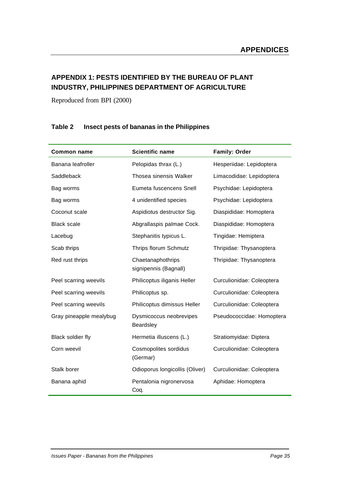# **APPENDIX 1: PESTS IDENTIFIED BY THE BUREAU OF PLANT INDUSTRY, PHILIPPINES DEPARTMENT OF AGRICULTURE**

Reproduced from BPI (2000)

### **Table 2 Insect pests of bananas in the Philippines**

| Common name             | <b>Scientific name</b>                     | <b>Family: Order</b>      |
|-------------------------|--------------------------------------------|---------------------------|
| Banana leafroller       | Pelopidas thrax (L.)                       | Hesperiidae: Lepidoptera  |
| Saddleback              | Thosea sinensis Walker                     | Limacodidae: Lepidoptera  |
| Bag worms               | Eumeta fuscencens Snell                    | Psychidae: Lepidoptera    |
| Bag worms               | 4 unidentified species                     | Psychidae: Lepidoptera    |
| Coconut scale           | Aspidiotus destructor Sig.                 | Diaspididae: Homoptera    |
| <b>Black scale</b>      | Abgrallaspis palmae Cock.                  | Diaspididae: Homoptera    |
| Lacebug                 | Stephanitis typicus L.                     | Tingidae: Hemiptera       |
| Scab thrips             | Thrips florum Schmutz                      | Thripidae: Thysanoptera   |
| Red rust thrips         | Chaetanaphothrips<br>signipennis (Bagnall) | Thripidae: Thysanoptera   |
| Peel scarring weevils   | Philicoptus iliganis Heller                | Curculionidae: Coleoptera |
| Peel scarring weevils   | Philicoptus sp.                            | Curculionidae: Coleoptera |
| Peel scarring weevils   | Philicoptus dimissus Heller                | Curculionidae: Coleoptera |
| Gray pineapple mealybug | Dysmicoccus neobrevipes<br>Beardsley       | Pseudococcidae: Homoptera |
| Black soldier fly       | Hermetia illuscens (L.)                    | Stratiomyidae: Diptera    |
| Corn weevil             | Cosmopolites sordidus<br>(Germar)          | Curculionidae: Coleoptera |
| Stalk borer             | Odioporus longicollis (Oliver)             | Curculionidae: Coleoptera |
| Banana aphid            | Pentalonia nigronervosa<br>Coq.            | Aphidae: Homoptera        |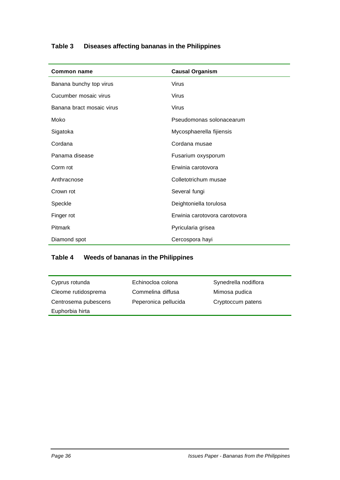### **Table 3 Diseases affecting bananas in the Philippines**

| Common name               | <b>Causal Organism</b>        |
|---------------------------|-------------------------------|
| Banana bunchy top virus   | <b>Virus</b>                  |
| Cucumber mosaic virus     | <b>Virus</b>                  |
| Banana bract mosaic virus | Virus                         |
| Moko                      | Pseudomonas solonacearum      |
| Sigatoka                  | Mycosphaerella fijiensis      |
| Cordana                   | Cordana musae                 |
| Panama disease            | Fusarium oxysporum            |
| Corm rot                  | Erwinia carotovora            |
| Anthracnose               | Colletotrichum musae          |
| Crown rot                 | Several fungi                 |
| Speckle                   | Deightoniella torulosa        |
| Finger rot                | Erwinia carotovora carotovora |
| Pitmark                   | Pyricularia grisea            |
| Diamond spot              | Cercospora hayi               |

# **Table 4 Weeds of bananas in the Philippines**

| Cyprus rotunda       | Echinocloa colona    | Synedrella nodiflora |
|----------------------|----------------------|----------------------|
| Cleome rutidosprema  | Commelina diffusa    | Mimosa pudica        |
| Centrosema pubescens | Peperonica pellucida | Cryptoccum patens    |
| Euphorbia hirta      |                      |                      |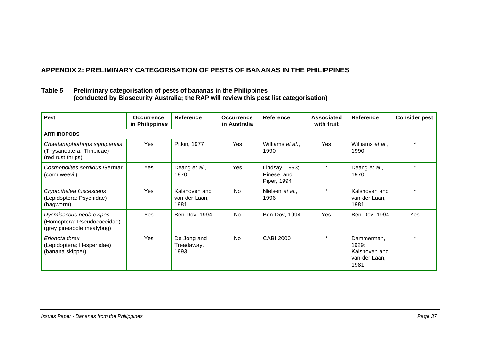# **APPENDIX 2: PRELIMINARY CATEGORISATION OF PESTS OF BANANAS IN THE PHILIPPINES**

#### **Table 5 Preliminary categorisation of pests of bananas in the Philippines (conducted by Biosecurity Australia; the RAP will review this pest list categorisation)**

| <b>Pest</b>                                                                         | <b>Occurrence</b><br>in Philippines | Reference                              | Occurrence<br>in Australia | Reference                                    | <b>Associated</b><br>with fruit | Reference                                                     | <b>Consider pest</b> |
|-------------------------------------------------------------------------------------|-------------------------------------|----------------------------------------|----------------------------|----------------------------------------------|---------------------------------|---------------------------------------------------------------|----------------------|
| <b>ARTHROPODS</b>                                                                   |                                     |                                        |                            |                                              |                                 |                                                               |                      |
| Chaetanaphothrips signipennis<br>(Thysanoptera: Thripidae)<br>(red rust thrips)     | Yes                                 | Pitkin, 1977                           | Yes                        | Williams et al.,<br>1990                     | Yes                             | Williams et al.,<br>1990                                      | $\star$              |
| Cosmopolites sordidus Germar<br>(corm weevil)                                       | Yes                                 | Deang et al.,<br>1970                  | Yes                        | Lindsay, 1993;<br>Pinese, and<br>Piper, 1994 | $\star$                         | Deang et al.,<br>1970                                         | $\star$              |
| Cryptothelea fuscescens<br>(Lepidoptera: Psychidae)<br>(bagworm)                    | Yes                                 | Kalshoven and<br>van der Laan,<br>1981 | <b>No</b>                  | Nielsen et al.,<br>1996                      | $\star$                         | Kalshoven and<br>van der Laan,<br>1981                        | $\star$              |
| Dysmicoccus neobrevipes<br>(Homoptera: Pseudococcidae)<br>(grey pineapple mealybug) | Yes                                 | Ben-Dov, 1994                          | <b>No</b>                  | Ben-Dov, 1994                                | Yes                             | Ben-Dov, 1994                                                 | Yes                  |
| Erionota thrax<br>(Lepidoptera; Hesperiidae)<br>(banana skipper)                    | Yes                                 | De Jong and<br>Treadaway,<br>1993      | <b>No</b>                  | <b>CABI 2000</b>                             | $\star$                         | Dammerman,<br>1929;<br>Kalshoven and<br>van der Laan,<br>1981 | $\star$              |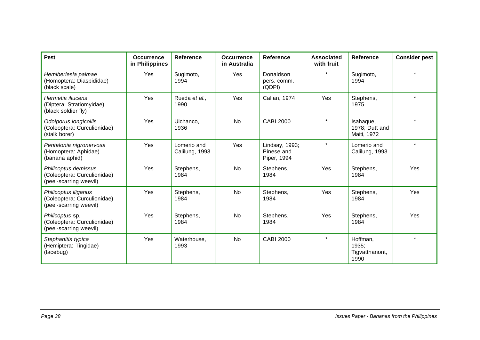| <b>Pest</b>                                                                   | <b>Occurrence</b><br>in Philippines | <b>Reference</b>              | Occurrence<br>in Australia | <b>Reference</b>                            | <b>Associated</b><br>with fruit | Reference                                   | <b>Consider pest</b> |
|-------------------------------------------------------------------------------|-------------------------------------|-------------------------------|----------------------------|---------------------------------------------|---------------------------------|---------------------------------------------|----------------------|
| Hemiberlesia palmae<br>(Homoptera: Diaspididae)<br>(black scale)              | Yes                                 | Sugimoto,<br>1994             | Yes                        | Donaldson<br>pers. comm.<br>(QDPI)          | $\ddot{\phantom{1}}$            | Sugimoto,<br>1994                           | $\star$              |
| Hermetia illucens<br>(Diptera: Stratiomyidae)<br>(black soldier fly)          | Yes                                 | Rueda et al.,<br>1990         | Yes                        | Callan, 1974                                | Yes                             | Stephens,<br>1975                           | $\star$              |
| Odoiporus longicollis<br>(Coleoptera: Curculionidae)<br>(stalk borer)         | Yes                                 | Uichanco,<br>1936             | <b>No</b>                  | <b>CABI 2000</b>                            | $\star$                         | Isahaque,<br>1978; Dutt and<br>Maiti, 1972  | $\star$              |
| Pentalonia nigronervosa<br>(Homoptera: Aphidae)<br>(banana aphid)             | Yes                                 | Lomerio and<br>Calilung, 1993 | Yes                        | Lindsay, 1993;<br>Pinese and<br>Piper, 1994 | $\star$                         | Lomerio and<br>Calilung, 1993               | $\star$              |
| Philicoptus demissus<br>(Coleoptera: Curculionidae)<br>(peel-scarring weevil) | Yes                                 | Stephens,<br>1984             | <b>No</b>                  | Stephens,<br>1984                           | Yes                             | Stephens,<br>1984                           | Yes                  |
| Philicoptus iliganus<br>(Coleoptera: Curculionidae)<br>(peel-scarring weevil) | Yes                                 | Stephens,<br>1984             | <b>No</b>                  | Stephens,<br>1984                           | Yes                             | Stephens,<br>1984                           | Yes                  |
| Philicoptus sp.<br>(Coleoptera: Curculionidae)<br>(peel-scarring weevil)      | Yes                                 | Stephens,<br>1984             | <b>No</b>                  | Stephens,<br>1984                           | Yes                             | Stephens,<br>1984                           | Yes                  |
| Stephanitis typica<br>(Hemiptera: Tingidae)<br>(lacebug)                      | Yes                                 | Waterhouse,<br>1993           | No                         | <b>CABI 2000</b>                            | $\star$                         | Hoffman,<br>1935;<br>Tigvattnanont,<br>1990 | $\star$              |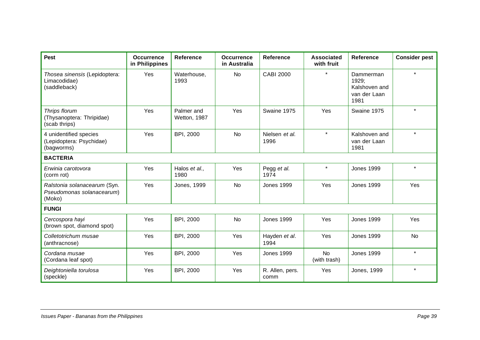| <b>Pest</b>                                                         | <b>Occurrence</b><br>in Philippines | <b>Reference</b>           | <b>Occurrence</b><br>in Australia | <b>Reference</b>        | <b>Associated</b><br>with fruit | Reference                                                   | <b>Consider pest</b> |
|---------------------------------------------------------------------|-------------------------------------|----------------------------|-----------------------------------|-------------------------|---------------------------------|-------------------------------------------------------------|----------------------|
| Thosea sinensis (Lepidoptera:<br>Limacodidae)<br>(saddleback)       | Yes                                 | Waterhouse,<br>1993        | <b>No</b>                         | <b>CABI 2000</b>        |                                 | Dammerman<br>1929;<br>Kalshoven and<br>van der Laan<br>1981 | $\star$              |
| Thrips florum<br>(Thysanoptera: Thripidae)<br>(scab thrips)         | Yes                                 | Palmer and<br>Wetton, 1987 | Yes                               | Swaine 1975             | Yes                             | Swaine 1975                                                 | $\star$              |
| 4 unidentified species<br>(Lepidoptera: Psychidae)<br>(bagworms)    | Yes                                 | BPI, 2000                  | <b>No</b>                         | Nielsen et al.<br>1996  | $\star$                         | Kalshoven and<br>van der Laan<br>1981                       | $\star$              |
| <b>BACTERIA</b>                                                     |                                     |                            |                                   |                         |                                 |                                                             |                      |
| Erwinia carotovora<br>(corm rot)                                    | Yes                                 | Halos et al.,<br>1980      | Yes                               | Pegg et al.<br>1974     | $\star$                         | <b>Jones 1999</b>                                           | $\star$              |
| Ralstonia solanacearum (Syn.<br>Pseudomonas solanacearum)<br>(Moko) | Yes                                 | Jones, 1999                | No                                | <b>Jones 1999</b>       | Yes                             | <b>Jones 1999</b>                                           | Yes                  |
| <b>FUNGI</b>                                                        |                                     |                            |                                   |                         |                                 |                                                             |                      |
| Cercospora hayi<br>(brown spot, diamond spot)                       | Yes                                 | BPI, 2000                  | <b>No</b>                         | <b>Jones 1999</b>       | Yes                             | <b>Jones 1999</b>                                           | Yes                  |
| Colletotrichum musae<br>(anthracnose)                               | Yes                                 | BPI, 2000                  | Yes                               | Hayden et al.<br>1994   | Yes                             | <b>Jones 1999</b>                                           | No.                  |
| Cordana musae<br>(Cordana leaf spot)                                | Yes                                 | BPI, 2000                  | Yes                               | <b>Jones 1999</b>       | <b>No</b><br>(with trash)       | <b>Jones 1999</b>                                           | $\star$              |
| Deightoniella torulosa<br>(speckle)                                 | Yes                                 | BPI, 2000                  | Yes                               | R. Allen, pers.<br>comm | Yes                             | Jones, 1999                                                 | $\star$              |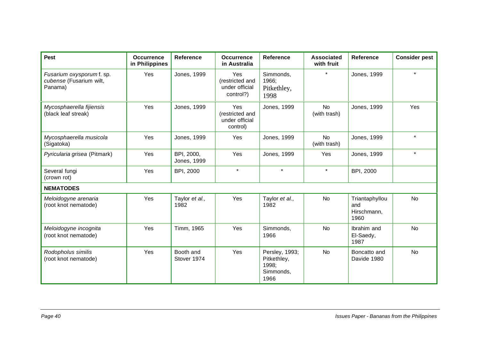| Pest                                                            | <b>Occurrence</b><br>in Philippines | <b>Reference</b>          | <b>Occurrence</b><br>in Australia                     | <b>Reference</b>                                            | <b>Associated</b><br>with fruit | <b>Reference</b>                             | <b>Consider pest</b> |
|-----------------------------------------------------------------|-------------------------------------|---------------------------|-------------------------------------------------------|-------------------------------------------------------------|---------------------------------|----------------------------------------------|----------------------|
| Fusarium oxysporum f. sp.<br>cubense (Fusarium wilt,<br>Panama) | Yes                                 | Jones, 1999               | Yes<br>(restricted and<br>under official<br>control?) | Simmonds,<br>1966;<br>Pitkethley,<br>1998                   |                                 | Jones, 1999                                  | $\star$              |
| Mycosphaerella fijiensis<br>(black leaf streak)                 | Yes                                 | Jones, 1999               | Yes<br>(restricted and<br>under official<br>control)  | Jones, 1999                                                 | <b>No</b><br>(with trash)       | Jones, 1999                                  | Yes                  |
| Mycosphaerella musicola<br>(Sigatoka)                           | Yes                                 | Jones, 1999               | Yes                                                   | Jones, 1999                                                 | <b>No</b><br>(with trash)       | Jones, 1999                                  | $\star$              |
| Pyricularia grisea (Pitmark)                                    | Yes                                 | BPI, 2000,<br>Jones, 1999 | Yes                                                   | Jones, 1999                                                 | Yes                             | Jones, 1999                                  | $\star$              |
| Several fungi<br>(crown rot)                                    | Yes                                 | BPI, 2000                 | $\star$                                               | $\star$                                                     | $\star$                         | BPI, 2000                                    |                      |
| <b>NEMATODES</b>                                                |                                     |                           |                                                       |                                                             |                                 |                                              |                      |
| Meloidogyne arenaria<br>(root knot nematode)                    | Yes                                 | Taylor et al.,<br>1982    | Yes                                                   | Taylor et al.,<br>1982                                      | <b>No</b>                       | Triantaphyllou<br>and<br>Hirschmann,<br>1960 | <b>No</b>            |
| Meloidogyne incognita<br>(root knot nematode)                   | Yes                                 | Timm, 1965                | Yes                                                   | Simmonds,<br>1966                                           | <b>No</b>                       | Ibrahim and<br>El-Saedy,<br>1987             | <b>No</b>            |
| Rodopholus similis<br>(root knot nematode)                      | Yes                                 | Booth and<br>Stover 1974  | Yes                                                   | Persley, 1993;<br>Pitkethley,<br>1998;<br>Simmonds,<br>1966 | <b>No</b>                       | Boncatto and<br>Davide 1980                  | <b>No</b>            |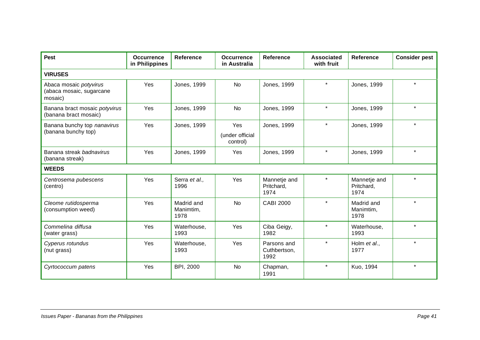| <b>Pest</b>                                                   | <b>Occurrence</b><br>in Philippines | <b>Reference</b>                | <b>Occurrence</b><br>in Australia  | Reference                           | <b>Associated</b><br>with fruit | <b>Reference</b>                   | <b>Consider pest</b> |
|---------------------------------------------------------------|-------------------------------------|---------------------------------|------------------------------------|-------------------------------------|---------------------------------|------------------------------------|----------------------|
| <b>VIRUSES</b>                                                |                                     |                                 |                                    |                                     |                                 |                                    |                      |
| Abaca mosaic potyvirus<br>(abaca mosaic, sugarcane<br>mosaic) | Yes                                 | Jones, 1999                     | <b>No</b>                          | Jones, 1999                         | $\star$                         | Jones, 1999                        | $\star$              |
| Banana bract mosaic potyvirus<br>(banana bract mosaic)        | Yes                                 | Jones, 1999                     | <b>No</b>                          | Jones, 1999                         | $\star$                         | Jones, 1999                        | $\star$              |
| Banana bunchy top nanavirus<br>(banana bunchy top)            | Yes                                 | Jones, 1999                     | Yes<br>(under official<br>control) | Jones, 1999                         | $\star$                         | Jones, 1999                        | $\star$              |
| Banana streak badnavirus<br>(banana streak)                   | Yes                                 | Jones, 1999                     | <b>Yes</b>                         | Jones, 1999                         | $\star$                         | Jones, 1999                        | $\star$              |
| <b>WEEDS</b>                                                  |                                     |                                 |                                    |                                     |                                 |                                    |                      |
| Centrosema pubescens<br>(centro)                              | Yes                                 | Serra et al.,<br>1996           | Yes                                | Mannetje and<br>Pritchard,<br>1974  | $\star$                         | Mannetje and<br>Pritchard,<br>1974 | $\star$              |
| Cleome rutidosperma<br>(consumption weed)                     | Yes                                 | Madrid and<br>Manimtim,<br>1978 | <b>No</b>                          | <b>CABI 2000</b>                    | $\star$                         | Madrid and<br>Manimtim,<br>1978    | $\star$              |
| Commelina diffusa<br>(water grass)                            | Yes                                 | Waterhouse,<br>1993             | Yes                                | Ciba Geigy,<br>1982                 | $\star$                         | Waterhouse,<br>1993                | $\star$              |
| Cyperus rotundus<br>(nut grass)                               | Yes                                 | Waterhouse,<br>1993             | Yes                                | Parsons and<br>Cuthbertson,<br>1992 | $\star$                         | Holm et al.,<br>1977               | $\star$              |
| Cyrtococcum patens                                            | Yes                                 | BPI, 2000                       | <b>No</b>                          | Chapman,<br>1991                    | $\star$                         | Kuo, 1994                          | $\star$              |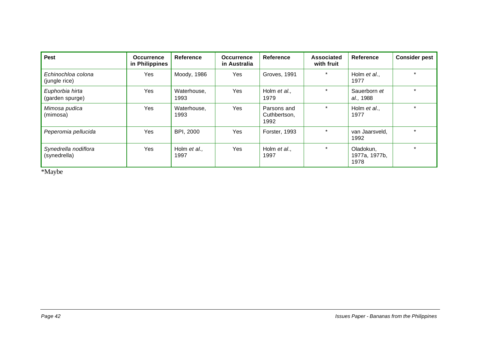| <b>Pest</b>                          | <b>Occurrence</b><br>in Philippines | Reference            | <b>Occurrence</b><br>in Australia | Reference                           | Associated<br>with fruit | <b>Reference</b>                   | <b>Consider pest</b> |
|--------------------------------------|-------------------------------------|----------------------|-----------------------------------|-------------------------------------|--------------------------|------------------------------------|----------------------|
| Echinochloa colona<br>(jungle rice)  | Yes                                 | Moody, 1986          | Yes                               | Groves, 1991                        | $\star$                  | Holm et al.,<br>1977               | $\star$              |
| Euphorbia hirta<br>(garden spurge)   | Yes                                 | Waterhouse,<br>1993  | Yes                               | Holm et al.,<br>1979                | $\star$                  | Sauerborn et<br><i>al.,</i> 1988   | $\star$              |
| Mimosa pudica<br>(mimosa)            | Yes                                 | Waterhouse,<br>1993  | Yes                               | Parsons and<br>Cuthbertson,<br>1992 | $\star$                  | Holm et al.,<br>1977               | $\star$              |
| Peperomia pellucida                  | Yes                                 | BPI, 2000            | Yes                               | Forster, 1993                       | $\star$                  | van Jaarsveld,<br>1992             | $\ddot{\phantom{1}}$ |
| Synedrella nodiflora<br>(synedrella) | Yes                                 | Holm et al.,<br>1997 | Yes                               | Holm et al.,<br>1997                | $\star$                  | Oladokun,<br>1977a, 1977b,<br>1978 | $\ast$               |

\*Maybe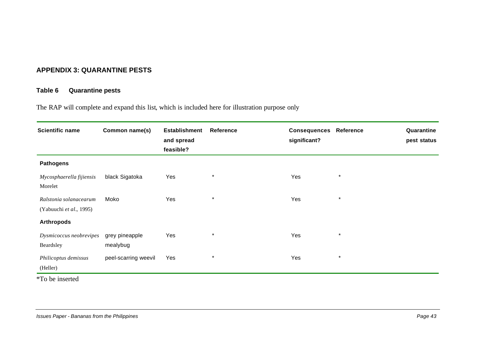### **APPENDIX 3: QUARANTINE PESTS**

#### **Table 6 Quarantine pests**

The RAP will complete and expand this list, which is included here for illustration purpose only

| <b>Scientific name</b>                                        | Common name(s)             | <b>Establishment</b><br>and spread<br>feasible? | Reference | <b>Consequences</b><br>significant? | Reference | Quarantine<br>pest status |
|---------------------------------------------------------------|----------------------------|-------------------------------------------------|-----------|-------------------------------------|-----------|---------------------------|
| <b>Pathogens</b>                                              |                            |                                                 |           |                                     |           |                           |
| Mycosphaerella fijiensis<br>Morelet                           | black Sigatoka             | Yes                                             | $\star$   | Yes                                 | $\star$   |                           |
| Ralstonia solanacearum<br>(Yabuuchi et al., 1995)             | Moko                       | Yes                                             | $\star$   | Yes                                 | $\star$   |                           |
| <b>Arthropods</b>                                             |                            |                                                 |           |                                     |           |                           |
| Dysmicoccus neobrevipes<br>Beardsley                          | grey pineapple<br>mealybug | Yes                                             | $\star$   | Yes                                 | $\star$   |                           |
| Philicoptus demissus<br>(Heller)<br>$\sqrt{m}$ 1 $\sqrt{m}$ 1 | peel-scarring weevil       | Yes                                             | $\star$   | Yes                                 | $\star$   |                           |

\*To be inserted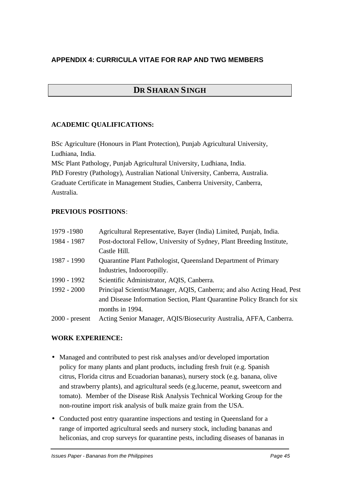# **APPENDIX 4: CURRICULA VITAE FOR RAP AND TWG MEMBERS**

# **DR SHARAN SINGH**

### **ACADEMIC QUALIFICATIONS:**

BSc Agriculture (Honours in Plant Protection), Punjab Agricultural University, Ludhiana, India.

MSc Plant Pathology, Punjab Agricultural University, Ludhiana, India. PhD Forestry (Pathology), Australian National University, Canberra, Australia. Graduate Certificate in Management Studies, Canberra University, Canberra, Australia.

### **PREVIOUS POSITIONS**:

| 1979 -1980       | Agricultural Representative, Bayer (India) Limited, Punjab, India.      |
|------------------|-------------------------------------------------------------------------|
| 1984 - 1987      | Post-doctoral Fellow, University of Sydney, Plant Breeding Institute,   |
|                  | Castle Hill.                                                            |
| 1987 - 1990      | Quarantine Plant Pathologist, Queensland Department of Primary          |
|                  | Industries, Indooroopilly.                                              |
| 1990 - 1992      | Scientific Administrator, AQIS, Canberra.                               |
| 1992 - 2000      | Principal Scientist/Manager, AQIS, Canberra; and also Acting Head, Pest |
|                  | and Disease Information Section, Plant Quarantine Policy Branch for six |
|                  | months in 1994.                                                         |
| $2000$ - present | Acting Senior Manager, AQIS/Biosecurity Australia, AFFA, Canberra.      |

- Managed and contributed to pest risk analyses and/or developed importation policy for many plants and plant products, including fresh fruit (e.g. Spanish citrus, Florida citrus and Ecuadorian bananas), nursery stock (e.g. banana, olive and strawberry plants), and agricultural seeds (e.g.lucerne, peanut, sweetcorn and tomato). Member of the Disease Risk Analysis Technical Working Group for the non-routine import risk analysis of bulk maize grain from the USA.
- Conducted post entry quarantine inspections and testing in Queensland for a range of imported agricultural seeds and nursery stock, including bananas and heliconias, and crop surveys for quarantine pests, including diseases of bananas in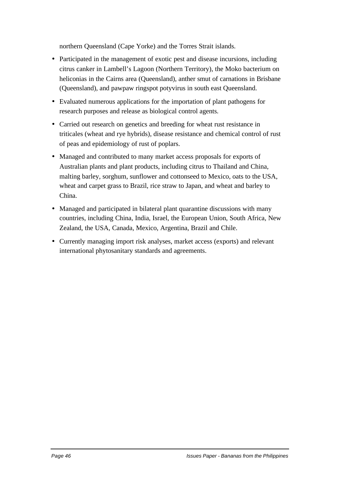northern Queensland (Cape Yorke) and the Torres Strait islands.

- Participated in the management of exotic pest and disease incursions, including citrus canker in Lambell's Lagoon (Northern Territory), the Moko bacterium on heliconias in the Cairns area (Queensland), anther smut of carnations in Brisbane (Queensland), and pawpaw ringspot potyvirus in south east Queensland.
- Evaluated numerous applications for the importation of plant pathogens for research purposes and release as biological control agents.
- Carried out research on genetics and breeding for wheat rust resistance in triticales (wheat and rye hybrids), disease resistance and chemical control of rust of peas and epidemiology of rust of poplars.
- Managed and contributed to many market access proposals for exports of Australian plants and plant products, including citrus to Thailand and China, malting barley, sorghum, sunflower and cottonseed to Mexico, oats to the USA, wheat and carpet grass to Brazil, rice straw to Japan, and wheat and barley to China.
- Managed and participated in bilateral plant quarantine discussions with many countries, including China, India, Israel, the European Union, South Africa, New Zealand, the USA, Canada, Mexico, Argentina, Brazil and Chile.
- Currently managing import risk analyses, market access (exports) and relevant international phytosanitary standards and agreements.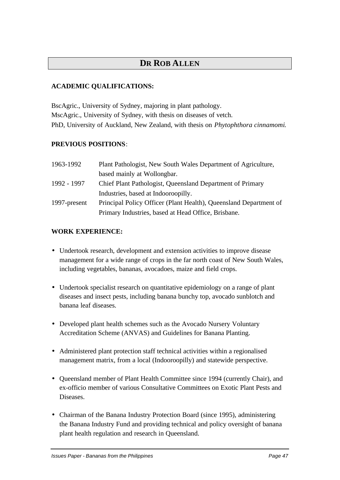# **DR ROB ALLEN**

# **ACADEMIC QUALIFICATIONS:**

BscAgric., University of Sydney, majoring in plant pathology. MscAgric., University of Sydney, with thesis on diseases of vetch. PhD, University of Auckland, New Zealand, with thesis on *Phytophthora cinnamomi*.

### **PREVIOUS POSITIONS**:

| 1963-1992    | Plant Pathologist, New South Wales Department of Agriculture,     |
|--------------|-------------------------------------------------------------------|
|              | based mainly at Wollongbar.                                       |
| 1992 - 1997  | Chief Plant Pathologist, Queensland Department of Primary         |
|              | Industries, based at Indooroopilly.                               |
| 1997-present | Principal Policy Officer (Plant Health), Queensland Department of |
|              | Primary Industries, based at Head Office, Brisbane.               |

- Undertook research, development and extension activities to improve disease management for a wide range of crops in the far north coast of New South Wales, including vegetables, bananas, avocadoes, maize and field crops.
- Undertook specialist research on quantitative epidemiology on a range of plant diseases and insect pests, including banana bunchy top, avocado sunblotch and banana leaf diseases.
- Developed plant health schemes such as the Avocado Nursery Voluntary Accreditation Scheme (ANVAS) and Guidelines for Banana Planting.
- Administered plant protection staff technical activities within a regionalised management matrix, from a local (Indooroopilly) and statewide perspective.
- Queensland member of Plant Health Committee since 1994 (currently Chair), and ex-officio member of various Consultative Committees on Exotic Plant Pests and Diseases.
- Chairman of the Banana Industry Protection Board (since 1995), administering the Banana Industry Fund and providing technical and policy oversight of banana plant health regulation and research in Queensland.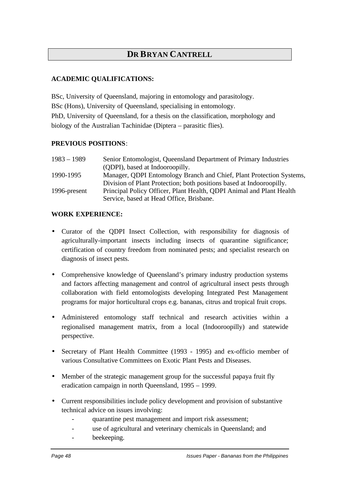# **DR BRYAN CANTRELL**

# **ACADEMIC QUALIFICATIONS:**

BSc, University of Queensland, majoring in entomology and parasitology. BSc (Hons), University of Queensland, specialising in entomology. PhD, University of Queensland, for a thesis on the classification, morphology and biology of the Australian Tachinidae (Diptera – parasitic flies).

### **PREVIOUS POSITIONS**:

| $1983 - 1989$ | Senior Entomologist, Queensland Department of Primary Industries     |
|---------------|----------------------------------------------------------------------|
|               | (QDPI), based at Indooroopilly.                                      |
| 1990-1995     | Manager, QDPI Entomology Branch and Chief, Plant Protection Systems, |
|               | Division of Plant Protection; both positions based at Indooroopilly. |
| 1996-present  | Principal Policy Officer, Plant Health, QDPI Animal and Plant Health |
|               | Service, based at Head Office, Brisbane.                             |

- Curator of the QDPI Insect Collection, with responsibility for diagnosis of agriculturally-important insects including insects of quarantine significance; certification of country freedom from nominated pests; and specialist research on diagnosis of insect pests.
- Comprehensive knowledge of Queensland's primary industry production systems and factors affecting management and control of agricultural insect pests through collaboration with field entomologists developing Integrated Pest Management programs for major horticultural crops e.g. bananas, citrus and tropical fruit crops.
- Administered entomology staff technical and research activities within a regionalised management matrix, from a local (Indooroopilly) and statewide perspective.
- Secretary of Plant Health Committee (1993 1995) and ex-officio member of various Consultative Committees on Exotic Plant Pests and Diseases.
- Member of the strategic management group for the successful papaya fruit fly eradication campaign in north Queensland, 1995 – 1999.
- Current responsibilities include policy development and provision of substantive technical advice on issues involving:
	- quarantine pest management and import risk assessment;
	- use of agricultural and veterinary chemicals in Queensland; and
	- beekeeping.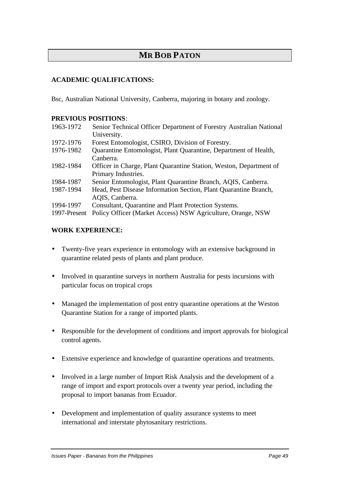# **MR BOB PATON**

### **ACADEMIC QUALIFICATIONS:**

Bsc, Australian National University, Canberra, majoring in botany and zoology.

#### **PREVIOUS POSITIONS**:

| 1963-1972    | Senior Technical Officer Department of Forestry Australian National<br>University. |
|--------------|------------------------------------------------------------------------------------|
| 1972-1976    | Forest Entomologist, CSIRO, Division of Forestry.                                  |
| 1976-1982    | Quarantine Entomologist, Plant Quarantine, Department of Health,                   |
|              | Canberra.                                                                          |
| 1982-1984    | Officer in Charge, Plant Quarantine Station, Weston, Department of                 |
|              | Primary Industries.                                                                |
| 1984-1987    | Senior Entomologist, Plant Quarantine Branch, AQIS, Canberra.                      |
| 1987-1994    | Head, Pest Disease Information Section, Plant Quarantine Branch,                   |
|              | AQIS, Canberra.                                                                    |
| 1994-1997    | Consultant, Quarantine and Plant Protection Systems.                               |
| 1997-Present | Policy Officer (Market Access) NSW Agriculture, Orange, NSW                        |
|              |                                                                                    |

- Twenty-five years experience in entomology with an extensive background in quarantine related pests of plants and plant produce.
- Involved in quarantine surveys in northern Australia for pests incursions with particular focus on tropical crops
- Managed the implementation of post entry quarantine operations at the Weston Quarantine Station for a range of imported plants.
- Responsible for the development of conditions and import approvals for biological control agents.
- Extensive experience and knowledge of quarantine operations and treatments.
- Involved in a large number of Import Risk Analysis and the development of a range of import and export protocols over a twenty year period, including the proposal to import bananas from Ecuador.
- Development and implementation of quality assurance systems to meet international and interstate phytosanitary restrictions.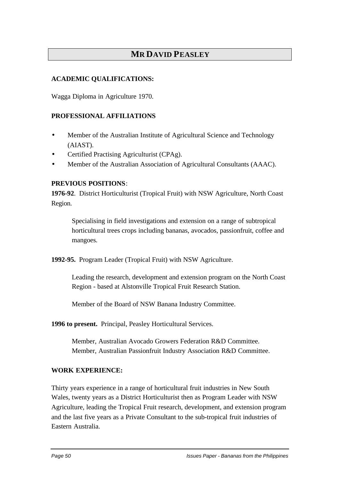# **MR DAVID PEASLEY**

# **ACADEMIC QUALIFICATIONS:**

Wagga Diploma in Agriculture 1970.

### **PROFESSIONAL AFFILIATIONS**

- Member of the Australian Institute of Agricultural Science and Technology (AIAST).
- Certified Practising Agriculturist (CPAg).
- Member of the Australian Association of Agricultural Consultants (AAAC).

### **PREVIOUS POSITIONS**:

**1976-92**. District Horticulturist (Tropical Fruit) with NSW Agriculture, North Coast Region.

Specialising in field investigations and extension on a range of subtropical horticultural trees crops including bananas, avocados, passionfruit, coffee and mangoes.

**1992-95.** Program Leader (Tropical Fruit) with NSW Agriculture.

Leading the research, development and extension program on the North Coast Region - based at Alstonville Tropical Fruit Research Station.

Member of the Board of NSW Banana Industry Committee.

### **1996 to present.** Principal, Peasley Horticultural Services.

Member, Australian Avocado Growers Federation R&D Committee. Member, Australian Passionfruit Industry Association R&D Committee.

### **WORK EXPERIENCE:**

Thirty years experience in a range of horticultural fruit industries in New South Wales, twenty years as a District Horticulturist then as Program Leader with NSW Agriculture, leading the Tropical Fruit research, development, and extension program and the last five years as a Private Consultant to the sub-tropical fruit industries of Eastern Australia.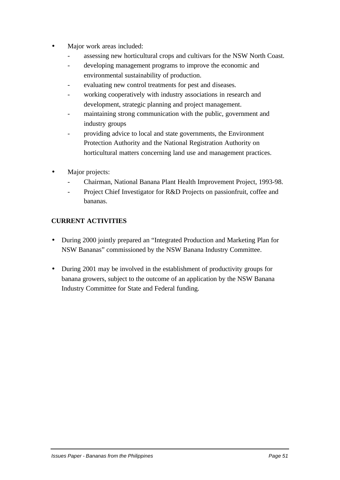- Major work areas included:
	- assessing new horticultural crops and cultivars for the NSW North Coast.
	- developing management programs to improve the economic and environmental sustainability of production.
	- evaluating new control treatments for pest and diseases.
	- working cooperatively with industry associations in research and development, strategic planning and project management.
	- maintaining strong communication with the public, government and industry groups
	- providing advice to local and state governments, the Environment Protection Authority and the National Registration Authority on horticultural matters concerning land use and management practices.
- Major projects:
	- Chairman, National Banana Plant Health Improvement Project, 1993-98.
	- Project Chief Investigator for R&D Projects on passionfruit, coffee and bananas.

# **CURRENT ACTIVITIES**

- During 2000 jointly prepared an "Integrated Production and Marketing Plan for NSW Bananas" commissioned by the NSW Banana Industry Committee.
- During 2001 may be involved in the establishment of productivity groups for banana growers, subject to the outcome of an application by the NSW Banana Industry Committee for State and Federal funding.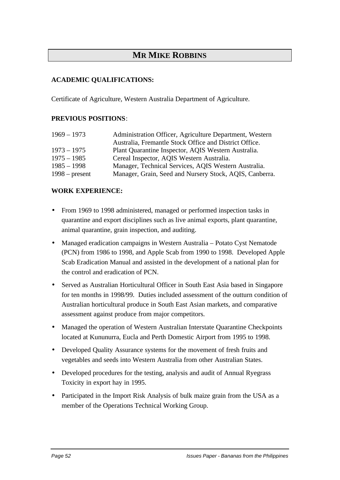# **MR MIKE ROBBINS**

### **ACADEMIC QUALIFICATIONS:**

Certificate of Agriculture, Western Australia Department of Agriculture.

#### **PREVIOUS POSITIONS**:

| $1969 - 1973$    | Administration Officer, Agriculture Department, Western |
|------------------|---------------------------------------------------------|
|                  | Australia, Fremantle Stock Office and District Office.  |
| $1973 - 1975$    | Plant Quarantine Inspector, AQIS Western Australia.     |
| $1975 - 1985$    | Cereal Inspector, AQIS Western Australia.               |
| $1985 - 1998$    | Manager, Technical Services, AQIS Western Australia.    |
| $1998$ – present | Manager, Grain, Seed and Nursery Stock, AQIS, Canberra. |

- From 1969 to 1998 administered, managed or performed inspection tasks in quarantine and export disciplines such as live animal exports, plant quarantine, animal quarantine, grain inspection, and auditing.
- Managed eradication campaigns in Western Australia Potato Cyst Nematode (PCN) from 1986 to 1998, and Apple Scab from 1990 to 1998. Developed Apple Scab Eradication Manual and assisted in the development of a national plan for the control and eradication of PCN.
- Served as Australian Horticultural Officer in South East Asia based in Singapore for ten months in 1998/99. Duties included assessment of the outturn condition of Australian horticultural produce in South East Asian markets, and comparative assessment against produce from major competitors.
- Managed the operation of Western Australian Interstate Quarantine Checkpoints located at Kununurra, Eucla and Perth Domestic Airport from 1995 to 1998.
- Developed Quality Assurance systems for the movement of fresh fruits and vegetables and seeds into Western Australia from other Australian States.
- Developed procedures for the testing, analysis and audit of Annual Ryegrass Toxicity in export hay in 1995.
- Participated in the Import Risk Analysis of bulk maize grain from the USA as a member of the Operations Technical Working Group.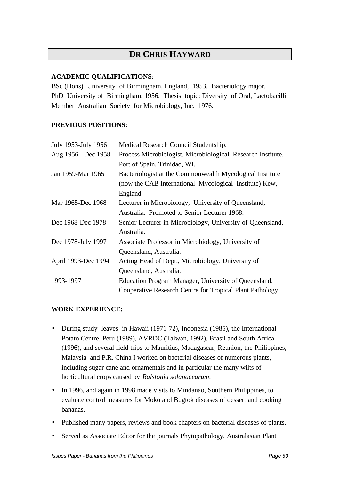# **DR CHRIS HAYWARD**

### **ACADEMIC QUALIFICATIONS:**

BSc (Hons) University of Birmingham, England, 1953. Bacteriology major. PhD University of Birmingham, 1956. Thesis topic: Diversity of Oral, Lactobacilli. Member Australian Society for Microbiology, Inc. 1976.

### **PREVIOUS POSITIONS**:

| July 1953-July 1956 | Medical Research Council Studentship.                       |
|---------------------|-------------------------------------------------------------|
| Aug 1956 - Dec 1958 | Process Microbiologist. Microbiological Research Institute, |
|                     | Port of Spain, Trinidad, WI.                                |
| Jan 1959-Mar 1965   | Bacteriologist at the Commonwealth Mycological Institute    |
|                     | (now the CAB International Mycological Institute) Kew,      |
|                     | England.                                                    |
| Mar 1965-Dec 1968   | Lecturer in Microbiology, University of Queensland,         |
|                     | Australia. Promoted to Senior Lecturer 1968.                |
| Dec 1968-Dec 1978   | Senior Lecturer in Microbiology, University of Queensland,  |
|                     | Australia.                                                  |
| Dec 1978-July 1997  | Associate Professor in Microbiology, University of          |
|                     | Queensland, Australia.                                      |
| April 1993-Dec 1994 | Acting Head of Dept., Microbiology, University of           |
|                     | Queensland, Australia.                                      |
| 1993-1997           | Education Program Manager, University of Queensland,        |
|                     | Cooperative Research Centre for Tropical Plant Pathology.   |

- During study leaves in Hawaii (1971-72), Indonesia (1985), the International Potato Centre, Peru (1989), AVRDC (Taiwan, 1992), Brasil and South Africa (1996), and several field trips to Mauritius, Madagascar, Reunion, the Philippines, Malaysia and P.R. China I worked on bacterial diseases of numerous plants, including sugar cane and ornamentals and in particular the many wilts of horticultural crops caused by *Ralstonia solanacearum*.
- In 1996, and again in 1998 made visits to Mindanao, Southern Philippines, to evaluate control measures for Moko and Bugtok diseases of dessert and cooking bananas.
- Published many papers, reviews and book chapters on bacterial diseases of plants.
- Served as Associate Editor for the journals Phytopathology, Australasian Plant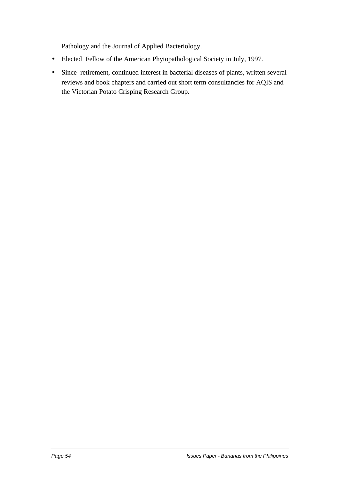Pathology and the Journal of Applied Bacteriology.

- Elected Fellow of the American Phytopathological Society in July, 1997.
- Since retirement, continued interest in bacterial diseases of plants, written several reviews and book chapters and carried out short term consultancies for AQIS and the Victorian Potato Crisping Research Group.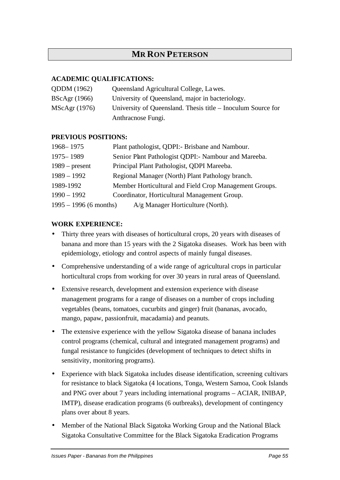# **MR RON PETERSON**

# **ACADEMIC QUALIFICATIONS:**

| <b>QDDM</b> (1962) | Queensland Agricultural College, Lawes.                      |
|--------------------|--------------------------------------------------------------|
| BScAgr(1966)       | University of Queensland, major in bacteriology.             |
| MScAgr(1976)       | University of Queensland. Thesis title – Inoculum Source for |
|                    | Anthracnose Fungi.                                           |

### **PREVIOUS POSITIONS:**

| 1968 - 1975              | Plant pathologist, QDPI:- Brisbane and Nambour.        |
|--------------------------|--------------------------------------------------------|
| 1975 - 1989              | Senior Plant Pathologist QDPI: - Nambour and Mareeba.  |
| $1989$ – present         | Principal Plant Pathologist, QDPI Mareeba.             |
| $1989 - 1992$            | Regional Manager (North) Plant Pathology branch.       |
| 1989-1992                | Member Horticultural and Field Crop Management Groups. |
| $1990 - 1992$            | Coordinator, Horticultural Management Group.           |
| $1995 - 1996$ (6 months) | $A/g$ Manager Horticulture (North).                    |

- Thirty three years with diseases of horticultural crops, 20 years with diseases of banana and more than 15 years with the 2 Sigatoka diseases. Work has been with epidemiology, etiology and control aspects of mainly fungal diseases.
- Comprehensive understanding of a wide range of agricultural crops in particular horticultural crops from working for over 30 years in rural areas of Queensland.
- Extensive research, development and extension experience with disease management programs for a range of diseases on a number of crops including vegetables (beans, tomatoes, cucurbits and ginger) fruit (bananas, avocado, mango, papaw, passionfruit, macadamia) and peanuts.
- The extensive experience with the yellow Sigatoka disease of banana includes control programs (chemical, cultural and integrated management programs) and fungal resistance to fungicides (development of techniques to detect shifts in sensitivity, monitoring programs).
- Experience with black Sigatoka includes disease identification, screening cultivars for resistance to black Sigatoka (4 locations, Tonga, Western Samoa, Cook Islands and PNG over about 7 years including international programs – ACIAR, INIBAP, IMTP), disease eradication programs (6 outbreaks), development of contingency plans over about 8 years.
- Member of the National Black Sigatoka Working Group and the National Black Sigatoka Consultative Committee for the Black Sigatoka Eradication Programs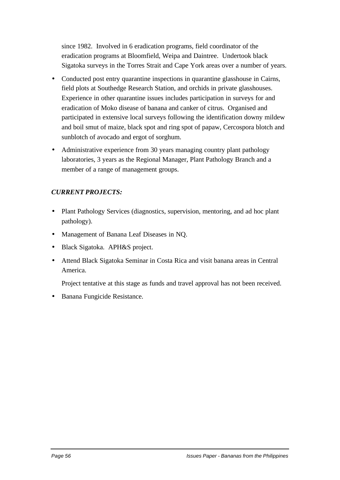since 1982. Involved in 6 eradication programs, field coordinator of the eradication programs at Bloomfield, Weipa and Daintree. Undertook black Sigatoka surveys in the Torres Strait and Cape York areas over a number of years.

- Conducted post entry quarantine inspections in quarantine glasshouse in Cairns, field plots at Southedge Research Station, and orchids in private glasshouses. Experience in other quarantine issues includes participation in surveys for and eradication of Moko disease of banana and canker of citrus. Organised and participated in extensive local surveys following the identification downy mildew and boil smut of maize, black spot and ring spot of papaw, Cercospora blotch and sunblotch of avocado and ergot of sorghum.
- Administrative experience from 30 years managing country plant pathology laboratories, 3 years as the Regional Manager, Plant Pathology Branch and a member of a range of management groups.

### *CURRENT PROJECTS:*

- Plant Pathology Services (diagnostics, supervision, mentoring, and ad hoc plant pathology).
- Management of Banana Leaf Diseases in NQ.
- Black Sigatoka. APH&S project.
- Attend Black Sigatoka Seminar in Costa Rica and visit banana areas in Central America.

Project tentative at this stage as funds and travel approval has not been received.

• Banana Fungicide Resistance.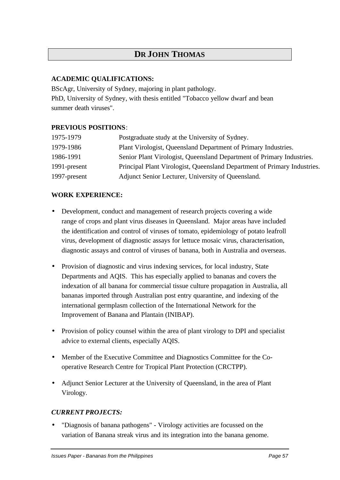# **DR JOHN THOMAS**

# **ACADEMIC QUALIFICATIONS:**

BScAgr, University of Sydney, majoring in plant pathology. PhD, University of Sydney, with thesis entitled "Tobacco yellow dwarf and bean summer death viruses".

### **PREVIOUS POSITIONS**:

| 1975-1979    | Postgraduate study at the University of Sydney.                          |
|--------------|--------------------------------------------------------------------------|
| 1979-1986    | Plant Virologist, Queensland Department of Primary Industries.           |
| 1986-1991    | Senior Plant Virologist, Queensland Department of Primary Industries.    |
| 1991-present | Principal Plant Virologist, Queensland Department of Primary Industries. |
| 1997-present | Adjunct Senior Lecturer, University of Queensland.                       |

### **WORK EXPERIENCE:**

- Development, conduct and management of research projects covering a wide range of crops and plant virus diseases in Queensland. Major areas have included the identification and control of viruses of tomato, epidemiology of potato leafroll virus, development of diagnostic assays for lettuce mosaic virus, characterisation, diagnostic assays and control of viruses of banana, both in Australia and overseas.
- Provision of diagnostic and virus indexing services, for local industry, State Departments and AQIS. This has especially applied to bananas and covers the indexation of all banana for commercial tissue culture propagation in Australia, all bananas imported through Australian post entry quarantine, and indexing of the international germplasm collection of the International Network for the Improvement of Banana and Plantain (INIBAP).
- Provision of policy counsel within the area of plant virology to DPI and specialist advice to external clients, especially AQIS.
- Member of the Executive Committee and Diagnostics Committee for the Cooperative Research Centre for Tropical Plant Protection (CRCTPP).
- Adjunct Senior Lecturer at the University of Queensland, in the area of Plant Virology.

### *CURRENT PROJECTS:*

• "Diagnosis of banana pathogens" - Virology activities are focussed on the variation of Banana streak virus and its integration into the banana genome.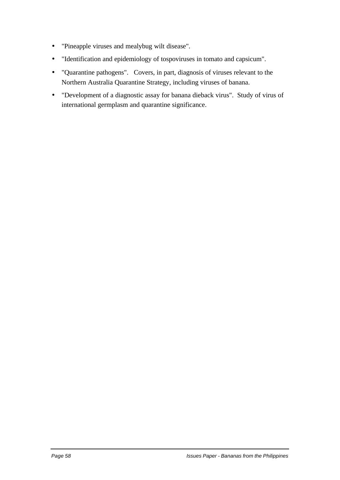- "Pineapple viruses and mealybug wilt disease".
- "Identification and epidemiology of tospoviruses in tomato and capsicum".
- "Quarantine pathogens". Covers, in part, diagnosis of viruses relevant to the Northern Australia Quarantine Strategy, including viruses of banana.
- "Development of a diagnostic assay for banana dieback virus". Study of virus of international germplasm and quarantine significance.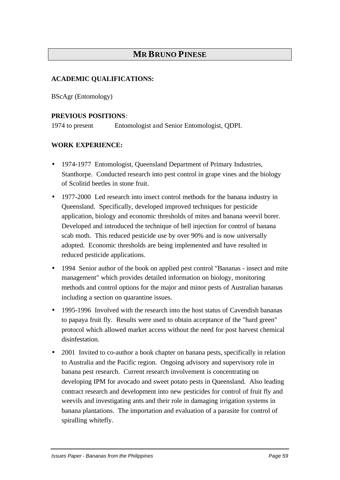# **MR BRUNO PINESE**

### **ACADEMIC QUALIFICATIONS:**

BScAgr (Entomology)

#### **PREVIOUS POSITIONS**:

1974 to present Entomologist and Senior Entomologist, QDPI.

- 1974-1977 Entomologist, Queensland Department of Primary Industries, Stanthorpe. Conducted research into pest control in grape vines and the biology of Scolitid beetles in stone fruit.
- 1977-2000 Led research into insect control methods for the banana industry in Queensland. Specifically, developed improved techniques for pesticide application, biology and economic thresholds of mites and banana weevil borer. Developed and introduced the technique of bell injection for control of banana scab moth. This reduced pesticide use by over 90% and is now universally adopted. Economic thresholds are being implemented and have resulted in reduced pesticide applications.
- 1994 Senior author of the book on applied pest control "Bananas insect and mite management" which provides detailed information on biology, monitoring methods and control options for the major and minor pests of Australian bananas including a section on quarantine issues.
- 1995-1996 Involved with the research into the host status of Cavendish bananas to papaya fruit fly. Results were used to obtain acceptance of the "hard green" protocol which allowed market access without the need for post harvest chemical disinfestation.
- 2001 Invited to co-author a book chapter on banana pests, specifically in relation to Australia and the Pacific region. Ongoing advisory and supervisory role in banana pest research. Current research involvement is concentrating on developing IPM for avocado and sweet potato pests in Queensland. Also leading contract research and development into new pesticides for control of fruit fly and weevils and investigating ants and their role in damaging irrigation systems in banana plantations. The importation and evaluation of a parasite for control of spiralling whitefly.